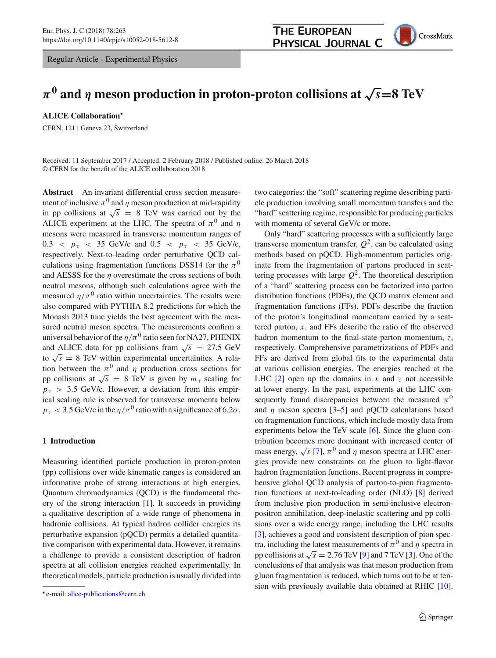Regular Article - Experimental Physics

# *<sup>π</sup>***<sup>0</sup> and** *<sup>η</sup>* **meson production in proton-proton collisions at <sup>√</sup>***s***=8 TeV**

**ALICE Collaboration**[-](#page-0-0)

CERN, 1211 Geneva 23, Switzerland

Received: 11 September 2017 / Accepted: 2 February 2018 / Published online: 26 March 2018

© CERN for the benefit of the ALICE collaboration 2018

**Abstract** An invariant differential cross section measurement of inclusive  $\pi^0$  and  $\eta$  meson production at mid-rapidity in pp collisions at  $\sqrt{s}$  = 8 TeV was carried out by the ALICE experiment at the LHC. The spectra of  $\pi^0$  and  $\eta$ mesons were measured in transverse momentum ranges of  $0.3 < p_{\text{T}} < 35 \text{ GeV/c}$  and  $0.5 < p_{\text{T}} < 35 \text{ GeV/c}$ , respectively. Next-to-leading order perturbative QCD calculations using fragmentation functions DSS14 for the  $\pi^0$ and AESSS for the  $\eta$  overestimate the cross sections of both neutral mesons, although such calculations agree with the measured  $\eta/\pi^0$  ratio within uncertainties. The results were also compared with PYTHIA 8.2 predictions for which the Monash 2013 tune yields the best agreement with the measured neutral meson spectra. The measurements confirm a universal behavior of the  $\eta/\pi^0$  ratio seen for NA27, PHENIX and ALICE data for pp collisions from  $\sqrt{s}$  = 27.5 GeV to  $\sqrt{s}$  = 8 TeV within experimental uncertainties. A relation between the  $\pi^0$  and  $\eta$  production cross sections for pp collisions at  $\sqrt{s}$  = 8 TeV is given by  $m<sub>T</sub>$  scaling for  $p_{\text{T}} > 3.5$  GeV/c. However, a deviation from this empirical scaling rule is observed for transverse momenta below  $p_{\text{T}} < 3.5$  GeV/c in the  $\eta/\pi^0$  ratio with a significance of 6.2 $\sigma$ .

## **1 Introduction**

Measuring identified particle production in proton-proton (pp) collisions over wide kinematic ranges is considered an informative probe of strong interactions at high energies. Quantum chromodynamics (QCD) is the fundamental theory of the strong interaction [\[1\]](#page-18-0). It succeeds in providing a qualitative description of a wide range of phenomena in hadronic collisions. At typical hadron collider energies its perturbative expansion (pQCD) permits a detailed quantitative comparison with experimental data. However, it remains a challenge to provide a consistent description of hadron spectra at all collision energies reached experimentally. In theoretical models, particle production is usually divided into two categories: the "soft" scattering regime describing particle production involving small momentum transfers and the "hard" scattering regime, responsible for producing particles with momenta of several GeV/c or more.

Only "hard" scattering processes with a sufficiently large transverse momentum transfer,  $Q^2$ , can be calculated using methods based on pQCD. High-momentum particles originate from the fragmentation of partons produced in scattering processes with large  $Q^2$ . The theoretical description of a "hard" scattering process can be factorized into parton distribution functions (PDFs), the QCD matrix element and fragmentation functions (FFs). PDFs describe the fraction of the proton's longitudinal momentum carried by a scattered parton, *x*, and FFs describe the ratio of the observed hadron momentum to the final-state parton momentum, *z*, respectively. Comprehensive parametrizations of PDFs and FFs are derived from global fits to the experimental data at various collision energies. The energies reached at the LHC  $[2]$  open up the domains in *x* and *z* not accessible at lower energy. In the past, experiments at the LHC consequently found discrepancies between the measured  $\pi^0$ and  $\eta$  meson spectra [\[3](#page-18-2)[–5](#page-18-3)] and pQCD calculations based on fragmentation functions, which include mostly data from experiments below the TeV scale [\[6\]](#page-18-4). Since the gluon contribution becomes more dominant with increased center of mass energy,  $\sqrt{s}$  [\[7](#page-18-5)],  $\pi^0$  and  $\eta$  meson spectra at LHC energies provide new constraints on the gluon to light-flavor hadron fragmentation functions. Recent progress in comprehensive global QCD analysis of parton-to-pion fragmentation functions at next-to-leading order (NLO) [\[8](#page-18-6)] derived from inclusive pion production in semi-inclusive electronpositron annihilation, deep-inelastic scattering and pp collisions over a wide energy range, including the LHC results [\[3](#page-18-2)], achieves a good and consistent description of pion spectra, including the latest measurements of  $\pi^0$  and  $\eta$  spectra in pp collisions at  $\sqrt{s} = 2.76$  TeV [\[9](#page-18-7)] and 7 TeV [\[3\]](#page-18-2). One of the conclusions of that analysis was that meson production from gluon fragmentation is reduced, which turns out to be at tension with previously available data obtained at RHIC [\[10](#page-18-8)].



<span id="page-0-0"></span><sup>\*</sup> e-mail: [alice-publications@cern.ch](mailto:alice-publications@cern.ch)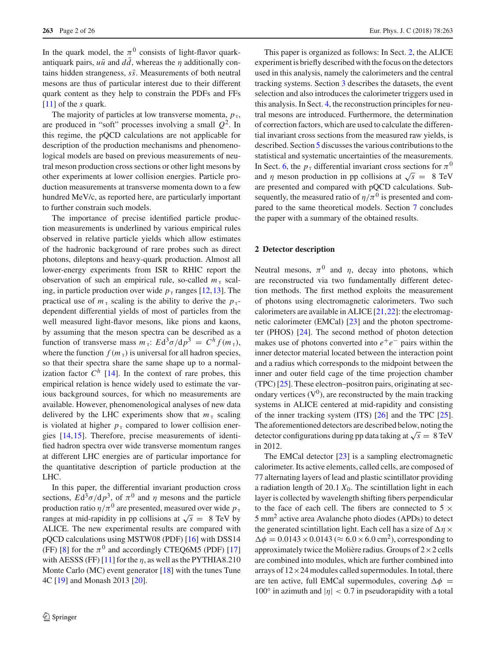In the quark model, the  $\pi^0$  consists of light-flavor quarkantiquark pairs,  $u\bar{u}$  and  $d\bar{d}$ , whereas the  $\eta$  additionally contains hidden strangeness, *ss*¯. Measurements of both neutral mesons are thus of particular interest due to their different quark content as they help to constrain the PDFs and FFs [\[11](#page-18-9)] of the *s* quark.

The majority of particles at low transverse momenta,  $p<sub>T</sub>$ , are produced in "soft" processes involving a small  $Q^2$ . In this regime, the pQCD calculations are not applicable for description of the production mechanisms and phenomenological models are based on previous measurements of neutral meson production cross sections or other light mesons by other experiments at lower collision energies. Particle production measurements at transverse momenta down to a few hundred MeV/c, as reported here, are particularly important to further constrain such models.

The importance of precise identified particle production measurements is underlined by various empirical rules observed in relative particle yields which allow estimates of the hadronic background of rare probes such as direct photons, dileptons and heavy-quark production. Almost all lower-energy experiments from ISR to RHIC report the observation of such an empirical rule, so-called  $m<sub>T</sub>$  scaling, in particle production over wide  $p<sub>T</sub>$  ranges [\[12](#page-18-10),[13\]](#page-18-11). The practical use of  $m<sub>T</sub>$  scaling is the ability to derive the  $p<sub>T</sub>$ dependent differential yields of most of particles from the well measured light-flavor mesons, like pions and kaons, by assuming that the meson spectra can be described as a function of transverse mass  $m_{\tau}$ :  $Ed^3\sigma/dp^3 = C^h f(m_{\tau}),$ where the function  $f(m_T)$  is universal for all hadron species, so that their spectra share the same shape up to a normalization factor  $C^h$  [\[14\]](#page-18-12). In the context of rare probes, this empirical relation is hence widely used to estimate the various background sources, for which no measurements are available. However, phenomenological analyses of new data delivered by the LHC experiments show that  $m<sub>T</sub>$  scaling is violated at higher  $p<sub>T</sub>$  compared to lower collision energies [\[14](#page-18-12)[,15](#page-18-13)]. Therefore, precise measurements of identified hadron spectra over wide transverse momentum ranges at different LHC energies are of particular importance for the quantitative description of particle production at the LHC.

In this paper, the differential invariant production cross sections,  $Ed^3\sigma/dp^3$ , of  $\pi^0$  and  $\eta$  mesons and the particle production ratio  $\eta/\pi^0$  are presented, measured over wide  $p_{\text{T}}$ ranges at mid-rapidity in pp collisions at  $\sqrt{s}$  = 8 TeV by ALICE. The new experimental results are compared with pQCD calculations using MSTW08 (PDF) [\[16](#page-18-14)] with DSS14 (FF) [\[8\]](#page-18-6) for the  $\pi^0$  and accordingly CTEQ6M5 (PDF) [\[17\]](#page-18-15) with AESSS (FF) [\[11](#page-18-9)] for the  $\eta$ , as well as the PYTHIA8.210 Monte Carlo (MC) event generator [\[18](#page-18-16)] with the tunes Tune 4C [\[19](#page-18-17)] and Monash 2013 [\[20](#page-18-18)].

This paper is organized as follows: In Sect. [2,](#page-1-0) the ALICE experiment is briefly described with the focus on the detectors used in this analysis, namely the calorimeters and the central tracking systems. Section [3](#page-2-0) describes the datasets, the event selection and also introduces the calorimeter triggers used in this analysis. In Sect. [4,](#page-3-0) the reconstruction principles for neutral mesons are introduced. Furthermore, the determination of correction factors, which are used to calculate the differential invariant cross sections from the measured raw yields, is described. Section [5](#page-10-0) discusses the various contributions to the statistical and systematic uncertainties of the measurements. In Sect. [6,](#page-12-0) the  $p<sub>T</sub>$  differential invariant cross sections for  $\pi<sup>0</sup>$ and  $\eta$  meson production in pp collisions at  $\sqrt{s}$  = 8 TeV are presented and compared with pQCD calculations. Subsequently, the measured ratio of  $\eta/\pi^0$  is presented and compared to the same theoretical models. Section [7](#page-17-0) concludes the paper with a summary of the obtained results.

#### <span id="page-1-0"></span>**2 Detector description**

Neutral mesons,  $\pi^0$  and  $\eta$ , decay into photons, which are reconstructed via two fundamentally different detection methods. The first method exploits the measurement of photons using electromagnetic calorimeters. Two such calorimeters are available in ALICE  $[21, 22]$  $[21, 22]$ : the electromagnetic calorimeter (EMCal) [\[23](#page-18-21)] and the photon spectrometer (PHOS) [\[24\]](#page-18-22). The second method of photon detection makes use of photons converted into  $e^+e^-$  pairs within the inner detector material located between the interaction point and a radius which corresponds to the midpoint between the inner and outer field cage of the time projection chamber (TPC) [\[25](#page-18-23)]. These electron–positron pairs, originating at secondary vertices  $(V^0)$ , are reconstructed by the main tracking systems in ALICE centered at mid-rapidity and consisting of the inner tracking system (ITS) [\[26](#page-18-24)] and the TPC [\[25](#page-18-23)]. The aforementioned detectors are described below, noting the detector configurations during pp data taking at  $\sqrt{s} = 8$  TeV in 2012.

The EMCal detector [\[23\]](#page-18-21) is a sampling electromagnetic calorimeter. Its active elements, called cells, are composed of 77 alternating layers of lead and plastic scintillator providing a radiation length of 20.1  $X_0$ . The scintillation light in each layer is collected by wavelength shifting fibers perpendicular to the face of each cell. The fibers are connected to 5  $\times$ 5 mm2 active area Avalanche photo diodes (APDs) to detect the generated scintillation light. Each cell has a size of  $\Delta \eta \times$  $\Delta \phi = 0.0143 \times 0.0143 \approx 6.0 \times 6.0 \text{ cm}^2$ , corresponding to approximately twice the Molière radius. Groups of  $2 \times 2$  cells are combined into modules, which are further combined into arrays of  $12 \times 24$  modules called supermodules. In total, there are ten active, full EMCal supermodules, covering  $\Delta \phi$  = 100 $\degree$  in azimuth and  $|\eta| < 0.7$  in pseudorapidity with a total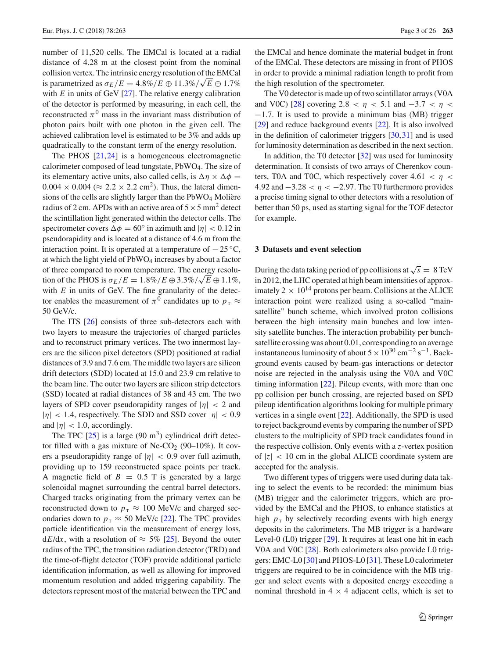number of 11,520 cells. The EMCal is located at a radial distance of 4.28 m at the closest point from the nominal collision vertex. The intrinsic energy resolution of the EMCal is parametrized as  $\sigma_E/E = 4.8\% / E \oplus 11.3\% / \sqrt{E} \oplus 1.7\%$ with *E* in units of GeV [\[27\]](#page-18-25). The relative energy calibration of the detector is performed by measuring, in each cell, the reconstructed  $\pi^0$  mass in the invariant mass distribution of photon pairs built with one photon in the given cell. The achieved calibration level is estimated to be 3% and adds up quadratically to the constant term of the energy resolution.

The PHOS [\[21](#page-18-19),[24](#page-18-22)] is a homogeneous electromagnetic calorimeter composed of lead tungstate, PbWO4. The size of its elementary active units, also called cells, is  $\Delta \eta \times \Delta \phi =$  $0.004 \times 0.004 \approx 2.2 \times 2.2 \text{ cm}^2$ ). Thus, the lateral dimensions of the cells are slightly larger than the  $PbWO<sub>4</sub>$  Molière radius of 2 cm. APDs with an active area of  $5 \times 5$  mm<sup>2</sup> detect the scintillation light generated within the detector cells. The spectrometer covers  $\Delta \phi = 60^{\circ}$  in azimuth and  $|\eta| < 0.12$  in pseudorapidity and is located at a distance of 4.6 m from the interaction point. It is operated at a temperature of  $-25 \degree C$ , at which the light yield of  $PbWO<sub>4</sub>$  increases by about a factor of three compared to room temperature. The energy resolution of the PHOS is  $\sigma_E/E = 1.8\% / E \oplus 3.3\% / \sqrt{E} \oplus 1.1\%$ , with *E* in units of GeV. The fine granularity of the detector enables the measurement of  $\pi^0$  candidates up to  $p_\text{T} \approx$ 50 GeV/c.

The ITS [\[26\]](#page-18-24) consists of three sub-detectors each with two layers to measure the trajectories of charged particles and to reconstruct primary vertices. The two innermost layers are the silicon pixel detectors (SPD) positioned at radial distances of 3.9 and 7.6 cm. The middle two layers are silicon drift detectors (SDD) located at 15.0 and 23.9 cm relative to the beam line. The outer two layers are silicon strip detectors (SSD) located at radial distances of 38 and 43 cm. The two layers of SPD cover pseudorapidity ranges of  $|\eta| < 2$  and  $|\eta|$  < 1.4, respectively. The SDD and SSD cover  $|\eta|$  < 0.9 and  $|\eta|$  < 1.0, accordingly.

The TPC  $[25]$  is a large  $(90 \text{ m}^3)$  cylindrical drift detector filled with a gas mixture of  $Ne\text{-}CO<sub>2</sub>$  (90–10%). It covers a pseudorapidity range of  $|\eta| < 0.9$  over full azimuth, providing up to 159 reconstructed space points per track. A magnetic field of  $B = 0.5$  T is generated by a large solenoidal magnet surrounding the central barrel detectors. Charged tracks originating from the primary vertex can be reconstructed down to  $p<sub>T</sub> \approx 100$  MeV/c and charged secondaries down to  $p<sub>T</sub> \approx 50$  MeV/c [\[22](#page-18-20)]. The TPC provides particle identification via the measurement of energy loss,  $dE/dx$ , with a resolution of  $\approx$  5% [\[25](#page-18-23)]. Beyond the outer radius of the TPC, the transition radiation detector (TRD) and the time-of-flight detector (TOF) provide additional particle identification information, as well as allowing for improved momentum resolution and added triggering capability. The detectors represent most of the material between the TPC and the EMCal and hence dominate the material budget in front of the EMCal. These detectors are missing in front of PHOS in order to provide a minimal radiation length to profit from the high resolution of the spectrometer.

The V0 detector is made up of two scintillator arrays (V0A and V0C) [\[28](#page-18-26)] covering 2.8 <  $\eta$  < 5.1 and -3.7 <  $\eta$  < −1.7. It is used to provide a minimum bias (MB) trigger [\[29](#page-18-27)] and reduce background events [\[22\]](#page-18-20). It is also involved in the definition of calorimeter triggers [\[30](#page-18-28),[31\]](#page-19-0) and is used for luminosity determination as described in the next section.

In addition, the T0 detector [\[32\]](#page-19-1) was used for luminosity determination. It consists of two arrays of Cherenkov counters, T0A and T0C, which respectively cover 4.61  $\lt \eta \lt \theta$ 4.92 and  $-3.28 < \eta < -2.97$ . The T0 furthermore provides a precise timing signal to other detectors with a resolution of better than 50 ps, used as starting signal for the TOF detector for example.

#### <span id="page-2-0"></span>**3 Datasets and event selection**

During the data taking period of pp collisions at  $\sqrt{s} = 8$  TeV in 2012, the LHC operated at high beam intensities of approximately  $2 \times 10^{14}$  protons per beam. Collisions at the ALICE interaction point were realized using a so-called "mainsatellite" bunch scheme, which involved proton collisions between the high intensity main bunches and low intensity satellite bunches. The interaction probability per bunchsatellite crossing was about 0.01, corresponding to an average instantaneous luminosity of about  $5 \times 10^{30}$  cm<sup>-2</sup> s<sup>-1</sup>. Background events caused by beam-gas interactions or detector noise are rejected in the analysis using the V0A and V0C timing information [\[22](#page-18-20)]. Pileup events, with more than one pp collision per bunch crossing, are rejected based on SPD pileup identification algorithms looking for multiple primary vertices in a single event [\[22](#page-18-20)]. Additionally, the SPD is used to reject background events by comparing the number of SPD clusters to the multiplicity of SPD track candidates found in the respective collision. Only events with a *z*-vertex position of  $|z|$  < 10 cm in the global ALICE coordinate system are accepted for the analysis.

Two different types of triggers were used during data taking to select the events to be recorded: the minimum bias (MB) trigger and the calorimeter triggers, which are provided by the EMCal and the PHOS, to enhance statistics at high  $p<sub>T</sub>$  by selectively recording events with high energy deposits in the calorimeters. The MB trigger is a hardware Level-0 (L0) trigger [\[29](#page-18-27)]. It requires at least one hit in each V0A and V0C [\[28\]](#page-18-26). Both calorimeters also provide L0 triggers: EMC-L0 [\[30\]](#page-18-28) and PHOS-L0 [\[31](#page-19-0)]. These L0 calorimeter triggers are required to be in coincidence with the MB trigger and select events with a deposited energy exceeding a nominal threshold in  $4 \times 4$  adjacent cells, which is set to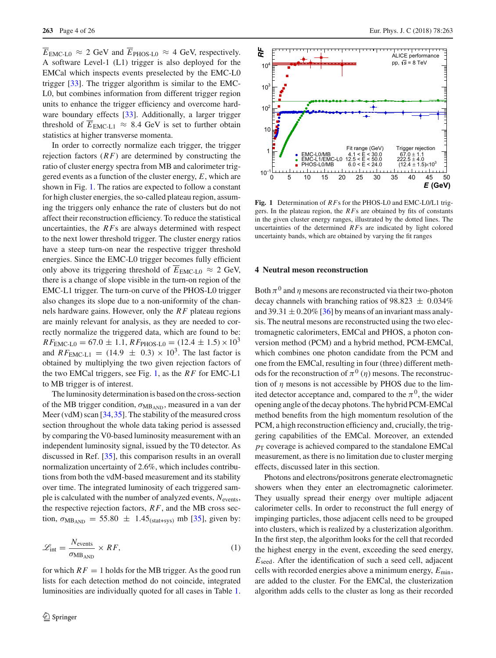$\overline{E}_{EMC\text{-}L0} \approx 2 \text{ GeV}$  and  $\overline{E}_{PHOS\text{-}L0} \approx 4 \text{ GeV}$ , respectively. A software Level-1 (L1) trigger is also deployed for the EMCal which inspects events preselected by the EMC-L0 trigger [\[33](#page-19-2)]. The trigger algorithm is similar to the EMC-L0, but combines information from different trigger region units to enhance the trigger efficiency and overcome hardware boundary effects [\[33](#page-19-2)]. Additionally, a larger trigger threshold of  $\overline{E}_{\text{EMC-L1}} \approx 8.4 \text{ GeV}$  is set to further obtain statistics at higher transverse momenta.

In order to correctly normalize each trigger, the trigger rejection factors  $(RF)$  are determined by constructing the ratio of cluster energy spectra from MB and calorimeter triggered events as a function of the cluster energy, *E*, which are shown in Fig. [1.](#page-3-1) The ratios are expected to follow a constant for high cluster energies, the so-called plateau region, assuming the triggers only enhance the rate of clusters but do not affect their reconstruction efficiency. To reduce the statistical uncertainties, the *RF*s are always determined with respect to the next lower threshold trigger. The cluster energy ratios have a steep turn-on near the respective trigger threshold energies. Since the EMC-L0 trigger becomes fully efficient only above its triggering threshold of  $\overline{E}_{EMC-LO} \approx 2$  GeV, there is a change of slope visible in the turn-on region of the EMC-L1 trigger. The turn-on curve of the PHOS-L0 trigger also changes its slope due to a non-uniformity of the channels hardware gains. However, only the *RF* plateau regions are mainly relevant for analysis, as they are needed to correctly normalize the triggered data, which are found to be:  $RF_{\text{EMC-L0}} = 67.0 \pm 1.1, RF_{\text{PHOS-L0}} = (12.4 \pm 1.5) \times 10^3$ and *RF*<sub>EMC-L1</sub> = (14.9  $\pm$  0.3) × 10<sup>3</sup>. The last factor is obtained by multiplying the two given rejection factors of the two EMCal triggers, see Fig. [1,](#page-3-1) as the *RF* for EMC-L1 to MB trigger is of interest.

The luminosity determination is based on the cross-section of the MB trigger condition,  $\sigma_{MB_{AND}}$ , measured in a van der Meer (vdM) scan [\[34](#page-19-3),[35\]](#page-19-4). The stability of the measured cross section throughout the whole data taking period is assessed by comparing the V0-based luminosity measurement with an independent luminosity signal, issued by the T0 detector. As discussed in Ref. [\[35](#page-19-4)], this comparison results in an overall normalization uncertainty of 2.6%, which includes contributions from both the vdM-based measurement and its stability over time. The integrated luminosity of each triggered sample is calculated with the number of analyzed events, *N*events, the respective rejection factors, *RF*, and the MB cross section,  $\sigma_{MB_{AND}} = 55.80 \pm 1.45_{\text{(stat+sys)}}$  mb [\[35](#page-19-4)], given by:

$$
\mathcal{L}_{\text{int}} = \frac{N_{\text{events}}}{\sigma_{\text{MB}_{\text{AND}}}} \times RF,\tag{1}
$$

for which  $RF = 1$  holds for the MB trigger. As the good run lists for each detection method do not coincide, integrated luminosities are individually quoted for all cases in Table [1.](#page-4-0)



<span id="page-3-1"></span>**Fig. 1** Determination of *RF*s for the PHOS-L0 and EMC-L0/L1 triggers. In the plateau region, the *RF*s are obtained by fits of constants in the given cluster energy ranges, illustrated by the dotted lines. The uncertainties of the determined *RF*s are indicated by light colored uncertainty bands, which are obtained by varying the fit ranges

#### <span id="page-3-0"></span>**4 Neutral meson reconstruction**

Both  $\pi^0$  and  $\eta$  mesons are reconstructed via their two-photon decay channels with branching ratios of 98.823  $\pm$  0.034% and 39.31  $\pm$  0.20% [\[36](#page-19-5)] by means of an invariant mass analysis. The neutral mesons are reconstructed using the two electromagnetic calorimeters, EMCal and PHOS, a photon conversion method (PCM) and a hybrid method, PCM-EMCal, which combines one photon candidate from the PCM and one from the EMCal, resulting in four (three) different methods for the reconstruction of  $\pi^{0}(\eta)$  mesons. The reconstruction of  $\eta$  mesons is not accessible by PHOS due to the limited detector acceptance and, compared to the  $\pi^{0}$ , the wider opening angle of the decay photons. The hybrid PCM-EMCal method benefits from the high momentum resolution of the PCM, a high reconstruction efficiency and, crucially, the triggering capabilities of the EMCal. Moreover, an extended  $p_T$  coverage is achieved compared to the standalone EMCal measurement, as there is no limitation due to cluster merging effects, discussed later in this section.

Photons and electrons/positrons generate electromagnetic showers when they enter an electromagnetic calorimeter. They usually spread their energy over multiple adjacent calorimeter cells. In order to reconstruct the full energy of impinging particles, those adjacent cells need to be grouped into clusters, which is realized by a clusterization algorithm. In the first step, the algorithm looks for the cell that recorded the highest energy in the event, exceeding the seed energy, *E*seed. After the identification of such a seed cell, adjacent cells with recorded energies above a minimum energy, *E*min, are added to the cluster. For the EMCal, the clusterization algorithm adds cells to the cluster as long as their recorded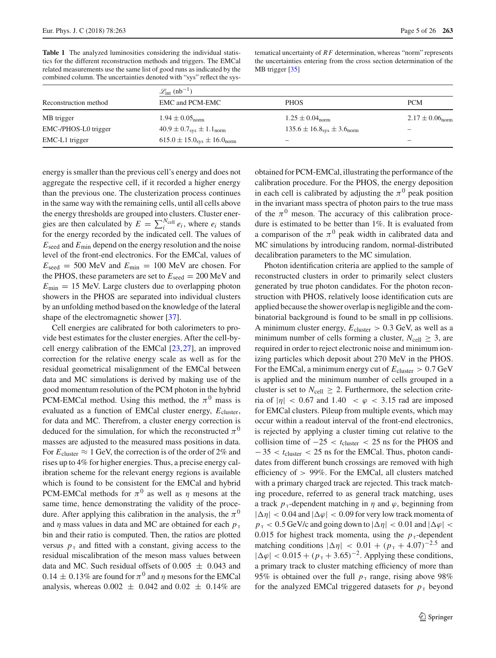<span id="page-4-0"></span>**Table 1** The analyzed luminosities considering the individual statistics for the different reconstruction methods and triggers. The EMCal related measurements use the same list of good runs as indicated by the combined column. The uncertainties denoted with "sys" reflect the systematical uncertainty of *RF* determination, whereas "norm" represents the uncertainties entering from the cross section determination of the MB trigger [\[35](#page-19-4)]

|                       | $\mathcal{L}_{int}$ (nb <sup>-1</sup> )        |                                                           |                                 |
|-----------------------|------------------------------------------------|-----------------------------------------------------------|---------------------------------|
| Reconstruction method | EMC and PCM-EMC                                | <b>PHOS</b>                                               | <b>PCM</b>                      |
| MB trigger            | $1.94 \pm 0.05$ <sub>norm</sub>                | $1.25 \pm 0.04_{norm}$                                    | $2.17 \pm 0.06$ <sub>norm</sub> |
| EMC-/PHOS-L0 trigger  | $40.9 \pm 0.7_{\rm sys} \pm 1.1_{\rm norm}$    | $135.6 \pm 16.8$ <sub>sys</sub> $\pm 3.6$ <sub>norm</sub> |                                 |
| EMC-L1 trigger        | $615.0 \pm 15.0_{\rm sys} \pm 16.0_{\rm norm}$ | -                                                         | $\overline{\phantom{a}}$        |

energy is smaller than the previous cell's energy and does not aggregate the respective cell, if it recorded a higher energy than the previous one. The clusterization process continues in the same way with the remaining cells, until all cells above the energy thresholds are grouped into clusters. Cluster energies are then calculated by  $E = \sum_{i}^{N_{\text{cell}}} e_i$ , where  $e_i$  stands for the energy recorded by the indicated cell. The values of *E*seed and *E*min depend on the energy resolution and the noise level of the front-end electronics. For the EMCal, values of  $E_{\text{seed}} = 500 \text{ MeV}$  and  $E_{\text{min}} = 100 \text{ MeV}$  are chosen. For the PHOS, these parameters are set to  $E_{\text{seed}} = 200 \text{ MeV}$  and  $E_{\text{min}} = 15$  MeV. Large clusters due to overlapping photon showers in the PHOS are separated into individual clusters by an unfolding method based on the knowledge of the lateral shape of the electromagnetic shower [\[37](#page-19-6)].

Cell energies are calibrated for both calorimeters to provide best estimates for the cluster energies. After the cell-bycell energy calibration of the EMCal [\[23](#page-18-21),[27\]](#page-18-25), an improved correction for the relative energy scale as well as for the residual geometrical misalignment of the EMCal between data and MC simulations is derived by making use of the good momentum resolution of the PCM photon in the hybrid PCM-EMCal method. Using this method, the  $\pi^0$  mass is evaluated as a function of EMCal cluster energy, *E*cluster, for data and MC. Therefrom, a cluster energy correction is deduced for the simulation, for which the reconstructed  $\pi^0$ masses are adjusted to the measured mass positions in data. For  $E_{\text{cluster}} \approx 1$  GeV, the correction is of the order of 2% and rises up to 4% for higher energies. Thus, a precise energy calibration scheme for the relevant energy regions is available which is found to be consistent for the EMCal and hybrid PCM-EMCal methods for  $\pi^0$  as well as  $\eta$  mesons at the same time, hence demonstrating the validity of the procedure. After applying this calibration in the analysis, the  $\pi^{0}$ and  $\eta$  mass values in data and MC are obtained for each  $p_{\text{T}}$ bin and their ratio is computed. Then, the ratios are plotted versus  $p_{\text{T}}$  and fitted with a constant, giving access to the residual miscalibration of the meson mass values between data and MC. Such residual offsets of  $0.005 \pm 0.043$  and  $0.14 \pm 0.13\%$  are found for  $\pi^0$  and  $\eta$  mesons for the EMCal analysis, whereas  $0.002 \pm 0.042$  and  $0.02 \pm 0.14\%$  are obtained for PCM-EMCal, illustrating the performance of the calibration procedure. For the PHOS, the energy deposition in each cell is calibrated by adjusting the  $\pi^0$  peak position in the invariant mass spectra of photon pairs to the true mass of the  $\pi^0$  meson. The accuracy of this calibration procedure is estimated to be better than 1%. It is evaluated from a comparison of the  $\pi^0$  peak width in calibrated data and MC simulations by introducing random, normal-distributed decalibration parameters to the MC simulation.

Photon identification criteria are applied to the sample of reconstructed clusters in order to primarily select clusters generated by true photon candidates. For the photon reconstruction with PHOS, relatively loose identification cuts are applied because the shower overlap is negligible and the combinatorial background is found to be small in pp collisions. A minimum cluster energy,  $E_{cluster} > 0.3$  GeV, as well as a minimum number of cells forming a cluster,  $N_{cell} \geq 3$ , are required in order to reject electronic noise and minimum ionizing particles which deposit about 270 MeV in the PHOS. For the EMCal, a minimum energy cut of  $E_{cluster} > 0.7$  GeV is applied and the minimum number of cells grouped in a cluster is set to  $N_{cell} \geq 2$ . Furthermore, the selection criteria of  $|\eta|$  < 0.67 and 1.40 <  $\varphi$  < 3.15 rad are imposed for EMCal clusters. Pileup from multiple events, which may occur within a readout interval of the front-end electronics, is rejected by applying a cluster timing cut relative to the collision time of  $-25 < t_{cluster} < 25$  ns for the PHOS and − 35 < *t*cluster < 25 ns for the EMCal. Thus, photon candidates from different bunch crossings are removed with high efficiency of > 99%. For the EMCal, all clusters matched with a primary charged track are rejected. This track matching procedure, referred to as general track matching, uses a track  $p_{\tau}$ -dependent matching in  $\eta$  and  $\varphi$ , beginning from  $|\Delta \eta| < 0.04$  and  $|\Delta \varphi| < 0.09$  for very low track momenta of  $p_{\text{T}} < 0.5$  GeV/c and going down to  $|\Delta \eta| < 0.01$  and  $|\Delta \varphi| <$ 0.015 for highest track momenta, using the  $p_T$ -dependent matching conditions  $|\Delta \eta| < 0.01 + (p_{\rm T} + 4.07)^{-2.5}$  and  $|\Delta\varphi| < 0.015 + (p_\text{T} + 3.65)^{-2}$ . Applying these conditions, a primary track to cluster matching efficiency of more than 95% is obtained over the full  $p<sub>T</sub>$  range, rising above 98% for the analyzed EMCal triggered datasets for  $p<sub>T</sub>$  beyond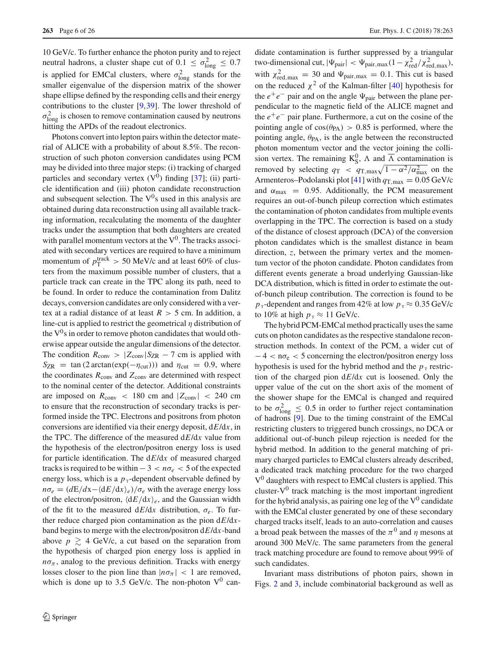10 GeV/c. To further enhance the photon purity and to reject neutral hadrons, a cluster shape cut of  $0.1 \leq \sigma_{\text{long}}^2 \leq 0.7$ is applied for EMCal clusters, where  $\sigma_{\rm long}^2$  stands for the smaller eigenvalue of the dispersion matrix of the shower shape ellipse defined by the responding cells and their energy contributions to the cluster [\[9,](#page-18-7)[39\]](#page-19-7). The lower threshold of  $\sigma_{\text{long}}^2$  is chosen to remove contamination caused by neutrons hitting the APDs of the readout electronics.

Photons convert into lepton pairs within the detector material of ALICE with a probability of about 8.5%. The reconstruction of such photon conversion candidates using PCM may be divided into three major steps: (i) tracking of charged particles and secondary vertex  $(V^0)$  finding [\[37\]](#page-19-6); (ii) particle identification and (iii) photon candidate reconstruction and subsequent selection. The  $V^0$ s used in this analysis are obtained during data reconstruction using all available tracking information, recalculating the momenta of the daughter tracks under the assumption that both daughters are created with parallel momentum vectors at the  $V<sup>0</sup>$ . The tracks associated with secondary vertices are required to have a minimum momentum of  $p_T^{\text{track}} > 50 \text{ MeV/c}$  and at least 60% of clusters from the maximum possible number of clusters, that a particle track can create in the TPC along its path, need to be found. In order to reduce the contamination from Dalitz decays, conversion candidates are only considered with a vertex at a radial distance of at least  $R > 5$  cm. In addition, a line-cut is applied to restrict the geometrical  $\eta$  distribution of the  $V^{0}$ s in order to remove photon candidates that would otherwise appear outside the angular dimensions of the detector. The condition  $R_{\text{conv}} > |Z_{\text{conv}}|S_{\text{ZR}} - 7 \text{ cm}$  is applied with  $S_{\text{ZR}} = \tan (2 \arctan(\exp(-\eta_{\text{cut}})))$  and  $\eta_{\text{cut}} = 0.9$ , where the coordinates  $R_{\text{conv}}$  and  $Z_{\text{conv}}$  are determined with respect to the nominal center of the detector. Additional constraints are imposed on  $R_{\text{conv}} < 180 \text{ cm}$  and  $|Z_{\text{conv}}| < 240 \text{ cm}$ to ensure that the reconstruction of secondary tracks is performed inside the TPC. Electrons and positrons from photon conversions are identified via their energy deposit, d*E*/d*x*, in the TPC. The difference of the measured d*E*/d*x* value from the hypothesis of the electron/positron energy loss is used for particle identification. The d*E*/d*x* of measured charged tracks is required to be within  $-3 < n\sigma_e < 5$  of the expected energy loss, which is a  $p_T$ -dependent observable defined by  $n\sigma_e = (dE/dx - \langle dE/dx \rangle_e)/\sigma_e$  with the average energy loss of the electron/positron,  $\langle dE/dx \rangle_e$ , and the Gaussian width of the fit to the measured  $dE/dx$  distribution,  $\sigma_e$ . To further reduce charged pion contamination as the pion d*E*/d*x*band begins to merge with the electron/positron d*E*/d*x*-band above  $p \geq 4$  GeV/c, a cut based on the separation from the hypothesis of charged pion energy loss is applied in  $n\sigma_{\pi}$ , analog to the previous definition. Tracks with energy losses closer to the pion line than  $|n\sigma_{\pi}| < 1$  are removed, which is done up to 3.5 GeV/c. The non-photon  $V^0$  candidate contamination is further suppressed by a triangular two-dimensional cut,  $|\Psi_{\text{pair}}| < \Psi_{\text{pair,max}}(1 - \chi_{\text{red}}^2 / \chi_{\text{red,max}}^2)$ , with  $\chi^2_{\text{red,max}} = 30$  and  $\Psi_{\text{pair,max}} = 0.1$ . This cut is based on the reduced  $\chi^2$  of the Kalman-filter [\[40](#page-19-8)] hypothesis for the  $e^+e^-$  pair and on the angle  $\Psi_{\text{pair}}$  between the plane perpendicular to the magnetic field of the ALICE magnet and the *e*+*e*− pair plane. Furthermore, a cut on the cosine of the pointing angle of  $cos(\theta_{PA}) > 0.85$  is performed, where the pointing angle,  $\theta_{PA}$ , is the angle between the reconstructed photon momentum vector and the vector joining the collision vertex. The remaining  $K_S^0$ ,  $\Lambda$  and  $\overline{\Lambda}$  contamination is removed by selecting  $q_T < q_{T,\text{max}} \sqrt{1 - \alpha^2/\alpha_{\text{max}}^2}$  on the Armenteros–Podolanski plot [\[41\]](#page-19-9) with *q*T,max = 0.05 GeV/c and  $\alpha_{\text{max}}$  = 0.95. Additionally, the PCM measurement requires an out-of-bunch pileup correction which estimates the contamination of photon candidates from multiple events overlapping in the TPC. The correction is based on a study of the distance of closest approach (DCA) of the conversion photon candidates which is the smallest distance in beam direction, *z*, between the primary vertex and the momentum vector of the photon candidate. Photon candidates from different events generate a broad underlying Gaussian-like DCA distribution, which is fitted in order to estimate the outof-bunch pileup contribution. The correction is found to be *p*<sub>T</sub>-dependent and ranges from 42% at low  $p<sub>T</sub> \approx 0.35$  GeV/c to 10% at high  $p<sub>T</sub> \approx 11$  GeV/c.

The hybrid PCM-EMCal method practically uses the same cuts on photon candidates as the respective standalone reconstruction methods. In context of the PCM, a wider cut of  $-4 < n\sigma_e < 5$  concerning the electron/positron energy loss hypothesis is used for the hybrid method and the  $p<sub>T</sub>$  restriction of the charged pion d*E*/d*x* cut is loosened. Only the upper value of the cut on the short axis of the moment of the shower shape for the EMCal is changed and required to be  $\sigma_{\text{long}}^2 \leq 0.5$  in order to further reject contamination of hadrons [\[9\]](#page-18-7). Due to the timing constraint of the EMCal restricting clusters to triggered bunch crossings, no DCA or additional out-of-bunch pileup rejection is needed for the hybrid method. In addition to the general matching of primary charged particles to EMCal clusters already described, a dedicated track matching procedure for the two charged  $V<sup>0</sup>$  daughters with respect to EMCal clusters is applied. This cluster- $V^0$  track matching is the most important ingredient for the hybrid analysis, as pairing one leg of the  $V^0$  candidate with the EMCal cluster generated by one of these secondary charged tracks itself, leads to an auto-correlation and causes a broad peak between the masses of the  $\pi^0$  and  $\eta$  mesons at around 300 MeV/c. The same parameters from the general track matching procedure are found to remove about 99% of such candidates.

Invariant mass distributions of photon pairs, shown in Figs. [2](#page-6-0) and [3,](#page-7-0) include combinatorial background as well as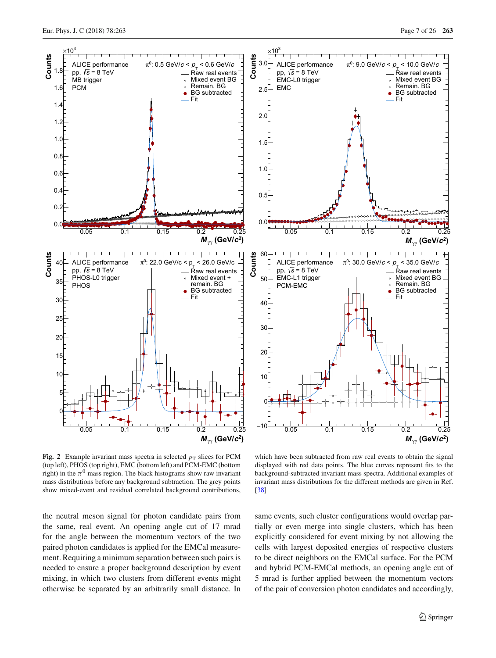

<span id="page-6-0"></span>**Fig. 2** Example invariant mass spectra in selected  $p_T$  slices for PCM (top left), PHOS (top right), EMC (bottom left) and PCM-EMC (bottom right) in the  $\pi^0$  mass region. The black histograms show raw invariant mass distributions before any background subtraction. The grey points show mixed-event and residual correlated background contributions,

the neutral meson signal for photon candidate pairs from the same, real event. An opening angle cut of 17 mrad for the angle between the momentum vectors of the two paired photon candidates is applied for the EMCal measurement. Requiring a minimum separation between such pairs is needed to ensure a proper background description by event mixing, in which two clusters from different events might otherwise be separated by an arbitrarily small distance. In

which have been subtracted from raw real events to obtain the signal displayed with red data points. The blue curves represent fits to the background-subtracted invariant mass spectra. Additional examples of invariant mass distributions for the different methods are given in Ref. [\[38](#page-19-10)]

same events, such cluster configurations would overlap partially or even merge into single clusters, which has been explicitly considered for event mixing by not allowing the cells with largest deposited energies of respective clusters to be direct neighbors on the EMCal surface. For the PCM and hybrid PCM-EMCal methods, an opening angle cut of 5 mrad is further applied between the momentum vectors of the pair of conversion photon candidates and accordingly,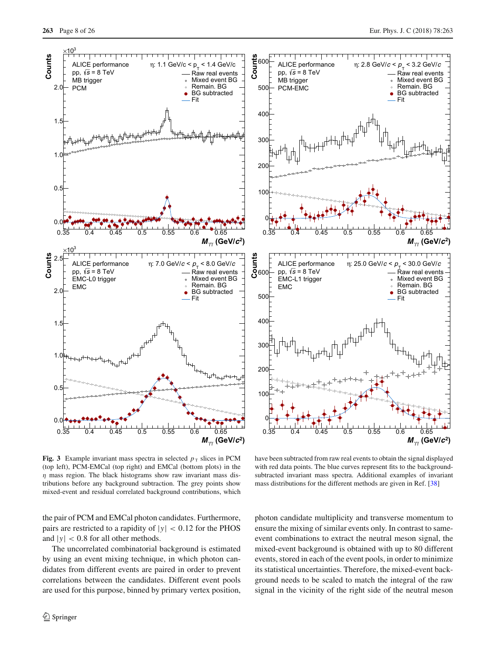



<span id="page-7-0"></span>**Fig. 3** Example invariant mass spectra in selected  $p<sub>T</sub>$  slices in PCM (top left), PCM-EMCal (top right) and EMCal (bottom plots) in the  $\eta$  mass region. The black histograms show raw invariant mass distributions before any background subtraction. The grey points show mixed-event and residual correlated background contributions, which

have been subtracted from raw real events to obtain the signal displayed with red data points. The blue curves represent fits to the backgroundsubtracted invariant mass spectra. Additional examples of invariant mass distributions for the different methods are given in Ref. [\[38](#page-19-10)]

the pair of PCM and EMCal photon candidates. Furthermore, pairs are restricted to a rapidity of  $|y| < 0.12$  for the PHOS and  $|y|$  < 0.8 for all other methods.

The uncorrelated combinatorial background is estimated by using an event mixing technique, in which photon candidates from different events are paired in order to prevent correlations between the candidates. Different event pools are used for this purpose, binned by primary vertex position, photon candidate multiplicity and transverse momentum to ensure the mixing of similar events only. In contrast to sameevent combinations to extract the neutral meson signal, the mixed-event background is obtained with up to 80 different events, stored in each of the event pools, in order to minimize its statistical uncertainties. Therefore, the mixed-event background needs to be scaled to match the integral of the raw signal in the vicinity of the right side of the neutral meson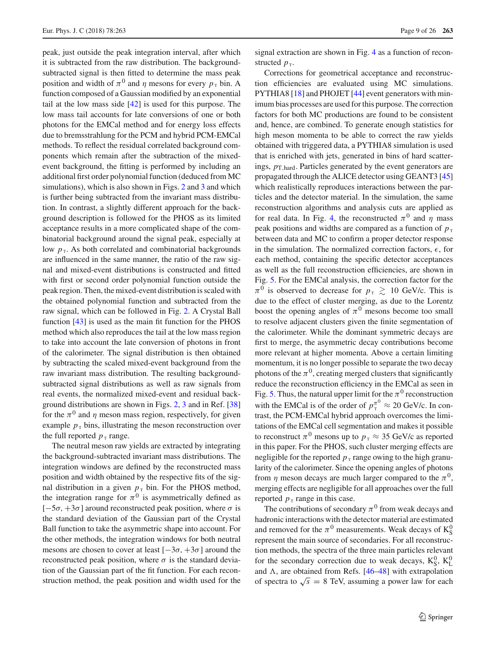peak, just outside the peak integration interval, after which it is subtracted from the raw distribution. The backgroundsubtracted signal is then fitted to determine the mass peak position and width of  $\pi^0$  and  $\eta$  mesons for every  $p_\text{\tiny T}$  bin. A function composed of a Gaussian modified by an exponential tail at the low mass side [\[42](#page-19-11)] is used for this purpose. The low mass tail accounts for late conversions of one or both photons for the EMCal method and for energy loss effects due to bremsstrahlung for the PCM and hybrid PCM-EMCal methods. To reflect the residual correlated background components which remain after the subtraction of the mixedevent background, the fitting is performed by including an additional first order polynomial function (deduced from MC simulations), which is also shown in Figs. [2](#page-6-0) and [3](#page-7-0) and which is further being subtracted from the invariant mass distribution. In contrast, a slightly different approach for the background description is followed for the PHOS as its limited acceptance results in a more complicated shape of the combinatorial background around the signal peak, especially at low  $p_T$ . As both correlated and combinatorial backgrounds are influenced in the same manner, the ratio of the raw signal and mixed-event distributions is constructed and fitted with first or second order polynomial function outside the peak region. Then, the mixed-event distribution is scaled with the obtained polynomial function and subtracted from the raw signal, which can be followed in Fig. [2.](#page-6-0) A Crystal Ball function [\[43](#page-19-12)] is used as the main fit function for the PHOS method which also reproduces the tail at the low mass region to take into account the late conversion of photons in front of the calorimeter. The signal distribution is then obtained by subtracting the scaled mixed-event background from the raw invariant mass distribution. The resulting backgroundsubtracted signal distributions as well as raw signals from real events, the normalized mixed-event and residual background distributions are shown in Figs. [2,](#page-6-0) [3](#page-7-0) and in Ref. [\[38\]](#page-19-10) for the  $\pi^0$  and  $\eta$  meson mass region, respectively, for given example  $p<sub>T</sub>$  bins, illustrating the meson reconstruction over the full reported  $p<sub>T</sub>$  range.

The neutral meson raw yields are extracted by integrating the background-subtracted invariant mass distributions. The integration windows are defined by the reconstructed mass position and width obtained by the respective fits of the signal distribution in a given  $p<sub>T</sub>$  bin. For the PHOS method, the integration range for  $\pi^0$  is asymmetrically defined as  $[-5\sigma, +3\sigma]$  around reconstructed peak position, where  $\sigma$  is the standard deviation of the Gaussian part of the Crystal Ball function to take the asymmetric shape into account. For the other methods, the integration windows for both neutral mesons are chosen to cover at least  $[-3\sigma, +3\sigma]$  around the reconstructed peak position, where  $\sigma$  is the standard deviation of the Gaussian part of the fit function. For each reconstruction method, the peak position and width used for the signal extraction are shown in Fig. [4](#page-9-0) as a function of reconstructed  $p_{\tau}$ .

Corrections for geometrical acceptance and reconstruction efficiencies are evaluated using MC simulations. PYTHIA8 [\[18\]](#page-18-16) and PHOJET [\[44\]](#page-19-13) event generators with minimum bias processes are used for this purpose. The correction factors for both MC productions are found to be consistent and, hence, are combined. To generate enough statistics for high meson momenta to be able to correct the raw yields obtained with triggered data, a PYTHIA8 simulation is used that is enriched with jets, generated in bins of hard scatterings, *p*T,hard. Particles generated by the event generators are propagated through the ALICE detector using GEANT3 [\[45\]](#page-19-14) which realistically reproduces interactions between the particles and the detector material. In the simulation, the same reconstruction algorithms and analysis cuts are applied as for real data. In Fig. [4,](#page-9-0) the reconstructed  $\pi^0$  and  $\eta$  mass peak positions and widths are compared as a function of  $p_{\text{T}}$ between data and MC to confirm a proper detector response in the simulation. The normalized correction factors,  $\epsilon$ , for each method, containing the specific detector acceptances as well as the full reconstruction efficiencies, are shown in Fig. [5.](#page-9-1) For the EMCal analysis, the correction factor for the  $\pi^0$  is observed to decrease for  $p_{\text{T}} \gtrsim 10 \text{ GeV/c}$ . This is due to the effect of cluster merging, as due to the Lorentz boost the opening angles of  $\pi^0$  mesons become too small to resolve adjacent clusters given the finite segmentation of the calorimeter. While the dominant symmetric decays are first to merge, the asymmetric decay contributions become more relevant at higher momenta. Above a certain limiting momentum, it is no longer possible to separate the two decay photons of the  $\pi^{0}$ , creating merged clusters that significantly reduce the reconstruction efficiency in the EMCal as seen in Fig. [5.](#page-9-1) Thus, the natural upper limit for the  $\pi^0$  reconstruction with the EMCal is of the order of  $p_{\rm T}^{\pi^0} \approx 20$  GeV/c. In contrast, the PCM-EMCal hybrid approach overcomes the limitations of the EMCal cell segmentation and makes it possible to reconstruct  $\pi^0$  mesons up to  $p_{\text{T}} \approx 35 \text{ GeV/c}$  as reported in this paper. For the PHOS, such cluster merging effects are negligible for the reported  $p<sub>T</sub>$  range owing to the high granularity of the calorimeter. Since the opening angles of photons from  $\eta$  meson decays are much larger compared to the  $\pi^{0}$ , merging effects are negligible for all approaches over the full reported  $p<sub>T</sub>$  range in this case.

The contributions of secondary  $\pi^0$  from weak decays and hadronic interactions with the detector material are estimated and removed for the  $\pi^0$  measurements. Weak decays of  $K^0_S$ represent the main source of secondaries. For all reconstruction methods, the spectra of the three main particles relevant for the secondary correction due to weak decays,  $K_S^0$ ,  $K_L^0$ and  $\Lambda$ , are obtained from Refs. [\[46](#page-19-15)[–48\]](#page-19-16) with extrapolation of spectra to  $\sqrt{s} = 8$  TeV, assuming a power law for each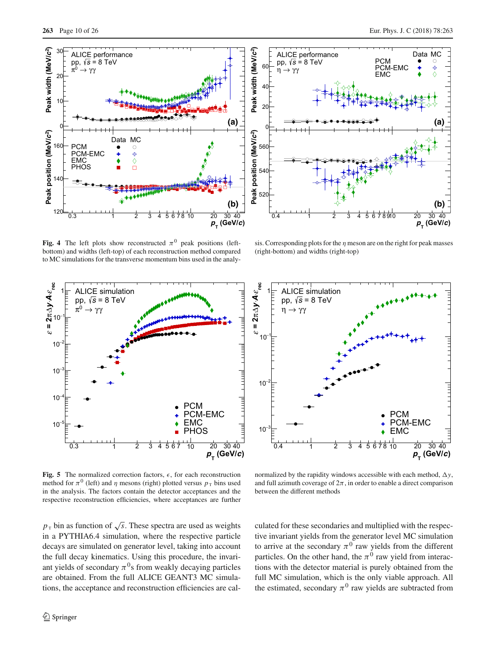

<span id="page-9-0"></span>**Fig. 4** The left plots show reconstructed  $\pi^0$  peak positions (leftbottom) and widths (left-top) of each reconstruction method compared to MC simulations for the transverse momentum bins used in the analy-



<span id="page-9-1"></span>Fig. 5 The normalized correction factors,  $\epsilon$ , for each reconstruction method for  $\pi^0$  (left) and  $\eta$  mesons (right) plotted versus  $p_T$  bins used in the analysis. The factors contain the detector acceptances and the respective reconstruction efficiencies, where acceptances are further



sis. Corresponding plots for the  $\eta$  meson are on the right for peak masses (right-bottom) and widths (right-top)



normalized by the rapidity windows accessible with each method,  $\Delta y$ , and full azimuth coverage of  $2\pi$ , in order to enable a direct comparison between the different methods

 $p<sub>T</sub>$  bin as function of  $\sqrt{s}$ . These spectra are used as weights in a PYTHIA6.4 simulation, where the respective particle decays are simulated on generator level, taking into account the full decay kinematics. Using this procedure, the invariant yields of secondary  $\pi^0$ s from weakly decaying particles are obtained. From the full ALICE GEANT3 MC simulations, the acceptance and reconstruction efficiencies are calculated for these secondaries and multiplied with the respective invariant yields from the generator level MC simulation to arrive at the secondary  $\pi^0$  raw yields from the different particles. On the other hand, the  $\pi^{0}$  raw yield from interactions with the detector material is purely obtained from the full MC simulation, which is the only viable approach. All the estimated, secondary  $\pi^0$  raw yields are subtracted from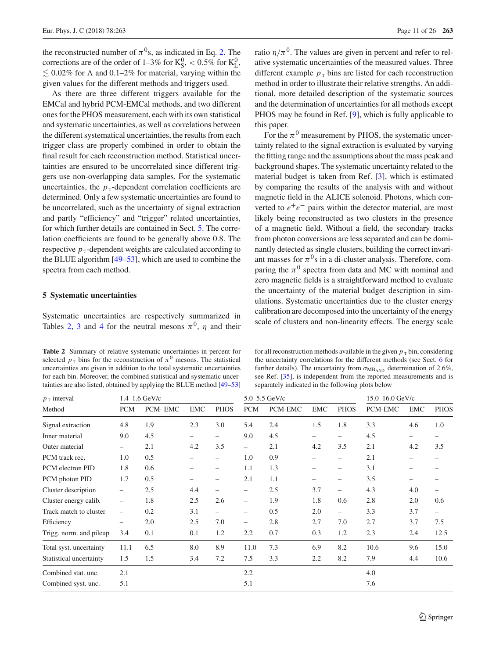the reconstructed number of  $\pi^{0}$ s, as indicated in Eq. [2.](#page-12-1) The corrections are of the order of  $1-3\%$  for  $K_S^0$ ,  $\lt 0.5\%$  for  $K_L^0$ ,  $\leq 0.02\%$  for  $\Lambda$  and 0.1–2% for material, varying within the given values for the different methods and triggers used.

As there are three different triggers available for the EMCal and hybrid PCM-EMCal methods, and two different ones for the PHOS measurement, each with its own statistical and systematic uncertainties, as well as correlations between the different systematical uncertainties, the results from each trigger class are properly combined in order to obtain the final result for each reconstruction method. Statistical uncertainties are ensured to be uncorrelated since different triggers use non-overlapping data samples. For the systematic uncertainties, the  $p_T$ -dependent correlation coefficients are determined. Only a few systematic uncertainties are found to be uncorrelated, such as the uncertainty of signal extraction and partly "efficiency" and "trigger" related uncertainties, for which further details are contained in Sect. [5.](#page-10-0) The correlation coefficients are found to be generally above 0.8. The respective  $p_T$ -dependent weights are calculated according to the BLUE algorithm [\[49](#page-19-17)[–53](#page-19-18)], which are used to combine the spectra from each method.

## <span id="page-10-0"></span>**5 Systematic uncertainties**

Systematic uncertainties are respectively summarized in Tables [2,](#page-10-1) [3](#page-11-0) and [4](#page-11-1) for the neutral mesons  $\pi^0$ ,  $\eta$  and their

<span id="page-10-1"></span>**Table 2** Summary of relative systematic uncertainties in percent for selected  $p_{\text{T}}$  bins for the reconstruction of  $\pi^0$  mesons. The statistical uncertainties are given in addition to the total systematic uncertainties for each bin. Moreover, the combined statistical and systematic uncertainties are also listed, obtained by applying the BLUE method [\[49](#page-19-17)[–53](#page-19-18)]

ratio  $\eta/\pi^0$ . The values are given in percent and refer to relative systematic uncertainties of the measured values. Three different example  $p<sub>T</sub>$  bins are listed for each reconstruction method in order to illustrate their relative strengths. An additional, more detailed description of the systematic sources and the determination of uncertainties for all methods except PHOS may be found in Ref. [\[9](#page-18-7)], which is fully applicable to this paper.

For the  $\pi^0$  measurement by PHOS, the systematic uncertainty related to the signal extraction is evaluated by varying the fitting range and the assumptions about the mass peak and background shapes. The systematic uncertainty related to the material budget is taken from Ref. [\[3\]](#page-18-2), which is estimated by comparing the results of the analysis with and without magnetic field in the ALICE solenoid. Photons, which converted to  $e^+e^-$  pairs within the detector material, are most likely being reconstructed as two clusters in the presence of a magnetic field. Without a field, the secondary tracks from photon conversions are less separated and can be dominantly detected as single clusters, building the correct invariant masses for  $\pi^0$ s in a di-cluster analysis. Therefore, comparing the  $\pi^0$  spectra from data and MC with nominal and zero magnetic fields is a straightforward method to evaluate the uncertainty of the material budget description in simulations. Systematic uncertainties due to the cluster energy calibration are decomposed into the uncertainty of the energy scale of clusters and non-linearity effects. The energy scale

for all reconstruction methods available in the given  $p<sub>T</sub>$  bin, considering the uncertainty correlations for the different methods (see Sect. [6](#page-12-0) for further details). The uncertainty from  $\sigma_{MB_{AND}}$  determination of 2.6%, see Ref. [\[35](#page-19-4)], is independent from the reported measurements and is separately indicated in the following plots below

| $pT$ interval           | $1.4 - 1.6$ GeV/c        |         |            | $5.0 - 5.5$ GeV/c |                          |         |                          | $15.0 - 16.0$ GeV/c      |         |                          |             |
|-------------------------|--------------------------|---------|------------|-------------------|--------------------------|---------|--------------------------|--------------------------|---------|--------------------------|-------------|
| Method                  | <b>PCM</b>               | PCM-EMC | <b>EMC</b> | <b>PHOS</b>       | <b>PCM</b>               | PCM-EMC | EMC                      | <b>PHOS</b>              | PCM-EMC | <b>EMC</b>               | <b>PHOS</b> |
| Signal extraction       | 4.8                      | 1.9     | 2.3        | 3.0               | 5.4                      | 2.4     | 1.5                      | 1.8                      | 3.3     | 4.6                      | 1.0         |
| Inner material          | 9.0                      | 4.5     | -          | -                 | 9.0                      | 4.5     | $\overline{\phantom{0}}$ | -                        | 4.5     | $\overline{\phantom{0}}$ | -           |
| Outer material          | $\qquad \qquad -$        | 2.1     | 4.2        | 3.5               | $-$                      | 2.1     | 4.2                      | 3.5                      | 2.1     | 4.2                      | 3.5         |
| PCM track rec.          | 1.0                      | 0.5     | -          | -                 | 1.0                      | 0.9     | -                        | -                        | 2.1     | $\qquad \qquad$          |             |
| PCM electron PID        | 1.8                      | 0.6     | -          | -                 | 1.1                      | 1.3     | $\overline{\phantom{0}}$ | -                        | 3.1     | -                        |             |
| PCM photon PID          | 1.7                      | 0.5     | -          | -                 | 2.1                      | 1.1     | -                        | -                        | 3.5     | -                        |             |
| Cluster description     | $\qquad \qquad -$        | 2.5     | 4.4        | -                 | -                        | 2.5     | 3.7                      | $\overline{\phantom{0}}$ | 4.3     | 4.0                      | -           |
| Cluster energy calib.   | $\overline{\phantom{m}}$ | 1.8     | 2.5        | 2.6               | -                        | 1.9     | 1.8                      | 0.6                      | 2.8     | 2.0                      | 0.6         |
| Track match to cluster  | $\overline{\phantom{m}}$ | 0.2     | 3.1        | -                 | -                        | 0.5     | 2.0                      |                          | 3.3     | 3.7                      | -           |
| Efficiency              | $\overline{\phantom{0}}$ | 2.0     | 2.5        | 7.0               | $\overline{\phantom{0}}$ | 2.8     | 2.7                      | 7.0                      | 2.7     | 3.7                      | 7.5         |
| Trigg. norm. and pileup | 3.4                      | 0.1     | 0.1        | 1.2               | 2.2                      | 0.7     | 0.3                      | 1.2                      | 2.3     | 2.4                      | 12.5        |
| Total syst. uncertainty | 11.1                     | 6.5     | 8.0        | 8.9               | 11.0                     | 7.3     | 6.9                      | 8.2                      | 10.6    | 9.6                      | 15.0        |
| Statistical uncertainty | 1.5                      | 1.5     | 3.4        | 7.2               | 7.5                      | 3.3     | 2.2                      | 8.2                      | 7.9     | 4.4                      | 10.6        |
| Combined stat. unc.     | 2.1                      |         |            |                   | 2.2                      |         |                          |                          | 4.0     |                          |             |
| Combined syst. unc.     | 5.1                      |         |            |                   | 5.1                      |         |                          |                          | 7.6     |                          |             |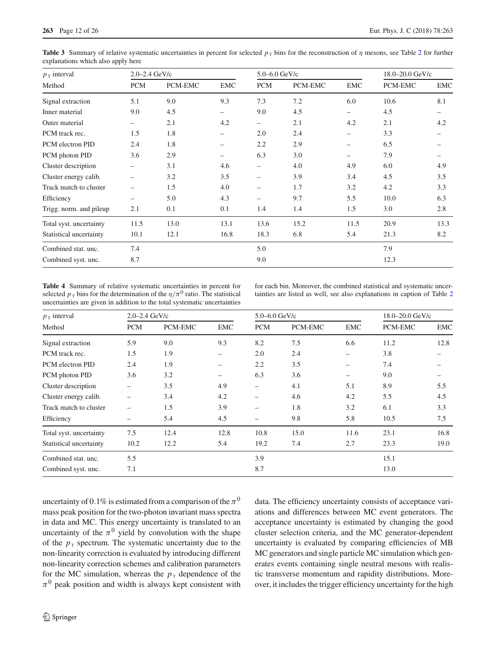<span id="page-11-0"></span>**Table 3** Summary of relative systematic uncertainties in percent for selected  $p<sub>T</sub>$  bins for the reconstruction of  $\eta$  mesons, see Table [2](#page-10-1) for further explanations which also apply here

| $p_T$ interval          | $2.0 - 2.4$ GeV/c        |         |                 | $5.0 - 6.0$ GeV/c        |         |            | 18.0-20.0 GeV/c |            |
|-------------------------|--------------------------|---------|-----------------|--------------------------|---------|------------|-----------------|------------|
| Method                  | <b>PCM</b>               | PCM-EMC | <b>EMC</b>      | <b>PCM</b>               | PCM-EMC | <b>EMC</b> | PCM-EMC         | <b>EMC</b> |
| Signal extraction       | 5.1                      | 9.0     | 9.3             | 7.3                      | 7.2     | 6.0        | 10.6            | 8.1        |
| Inner material          | 9.0                      | 4.5     |                 | 9.0                      | 4.5     |            | 4.5             |            |
| Outer material          | -                        | 2.1     | 4.2             | -                        | 2.1     | 4.2        | 2.1             | 4.2        |
| PCM track rec.          | 1.5                      | 1.8     | $\qquad \qquad$ | 2.0                      | 2.4     |            | 3.3             |            |
| PCM electron PID        | 2.4                      | 1.8     |                 | 2.2                      | 2.9     |            | 6.5             |            |
| PCM photon PID          | 3.6                      | 2.9     |                 | 6.3                      | 3.0     | -          | 7.9             |            |
| Cluster description     | -                        | 3.1     | 4.6             | $\overline{\phantom{0}}$ | 4.0     | 4.9        | 6.0             | 4.9        |
| Cluster energy calib.   | $\overline{\phantom{0}}$ | 3.2     | 3.5             | $\overline{\phantom{0}}$ | 3.9     | 3.4        | 4.5             | 3.5        |
| Track match to cluster  |                          | 1.5     | 4.0             | $\overline{\phantom{0}}$ | 1.7     | 3.2        | 4.2             | 3.3        |
| Efficiency              |                          | 5.0     | 4.3             | $\overline{\phantom{0}}$ | 9.7     | 5.5        | 10.0            | 6.3        |
| Trigg. norm. and pileup | 2.1                      | 0.1     | 0.1             | 1.4                      | 1.4     | 1.5        | 3.0             | 2.8        |
| Total syst. uncertainty | 11.5                     | 13.0    | 13.1            | 13.6                     | 15.2    | 11.5       | 20.9            | 13.3       |
| Statistical uncertainty | 10.1                     | 12.1    | 16.8            | 18.3                     | 6.8     | 5.4        | 21.3            | 8.2        |
| Combined stat. unc.     | 7.4                      |         |                 | 5.0                      |         |            | 7.9             |            |
| Combined syst. unc.     | 8.7                      |         |                 | 9.0                      |         |            | 12.3            |            |

<span id="page-11-1"></span>**Table 4** Summary of relative systematic uncertainties in percent for selected  $p<sub>T</sub>$  bins for the determination of the  $\eta/\pi^0$  ratio. The statistical uncertainties are given in addition to the total systematic uncertainties for each bin. Moreover, the combined statistical and systematic uncertainties are listed as well, see also explanations in caption of Table [2](#page-10-1)

| $pT$ interval           | $2.0 - 2.4$ GeV/c |         |            | $5.0 - 6.0$ GeV/c |         |                          | 18.0–20.0 GeV/c |            |
|-------------------------|-------------------|---------|------------|-------------------|---------|--------------------------|-----------------|------------|
| Method                  | <b>PCM</b>        | PCM-EMC | <b>EMC</b> | <b>PCM</b>        | PCM-EMC | <b>EMC</b>               | PCM-EMC         | <b>EMC</b> |
| Signal extraction       | 5.9               | 9.0     | 9.3        | 8.2               | 7.5     | 6.6                      | 11.2            | 12.8       |
| PCM track rec.          | 1.5               | 1.9     | -          | 2.0               | 2.4     | $\overline{\phantom{0}}$ | 3.8             |            |
| PCM electron PID        | 2.4               | 1.9     | -          | 2.2               | 3.5     |                          | 7.4             |            |
| PCM photon PID          | 3.6               | 3.2     | -          | 6.3               | 3.6     | $\qquad \qquad$          | 9.0             |            |
| Cluster description     |                   | 3.5     | 4.9        | -                 | 4.1     | 5.1                      | 8.9             | 5.5        |
| Cluster energy calib.   |                   | 3.4     | 4.2        |                   | 4.6     | 4.2                      | 5.5             | 4.5        |
| Track match to cluster  |                   | 1.5     | 3.9        | -                 | 1.8     | 3.2                      | 6.1             | 3.3        |
| Efficiency              |                   | 5.4     | 4.5        | -                 | 9.8     | 5.8                      | 10.5            | 7.5        |
| Total syst. uncertainty | 7.5               | 12.4    | 12.8       | 10.8              | 15.0    | 11.6                     | 23.1            | 16.8       |
| Statistical uncertainty | 10.2              | 12.2    | 5.4        | 19.2              | 7.4     | 2.7                      | 23.3            | 19.0       |
| Combined stat. unc.     | 5.5               |         |            | 3.9               |         |                          | 15.1            |            |
| Combined syst. unc.     | 7.1               |         |            | 8.7               |         |                          | 13.0            |            |

uncertainty of 0.1% is estimated from a comparison of the  $\pi^0$ mass peak position for the two-photon invariant mass spectra in data and MC. This energy uncertainty is translated to an uncertainty of the  $\pi^0$  yield by convolution with the shape of the  $p_T$  spectrum. The systematic uncertainty due to the non-linearity correction is evaluated by introducing different non-linearity correction schemes and calibration parameters for the MC simulation, whereas the  $p<sub>T</sub>$  dependence of the  $\pi^0$  peak position and width is always kept consistent with data. The efficiency uncertainty consists of acceptance variations and differences between MC event generators. The acceptance uncertainty is estimated by changing the good cluster selection criteria, and the MC generator-dependent uncertainty is evaluated by comparing efficiencies of MB MC generators and single particle MC simulation which generates events containing single neutral mesons with realistic transverse momentum and rapidity distributions. Moreover, it includes the trigger efficiency uncertainty for the high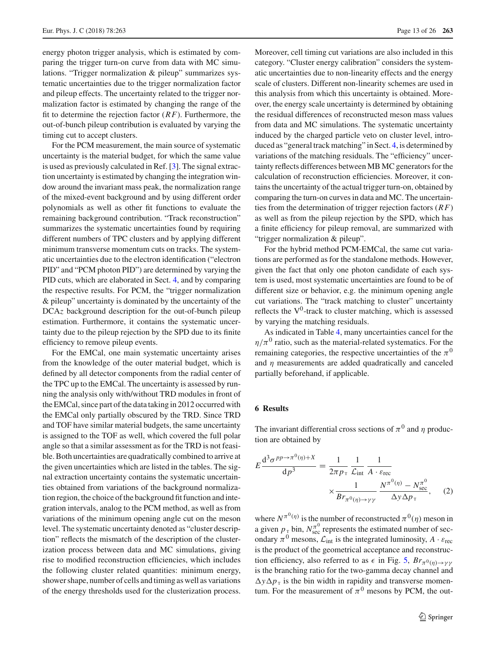energy photon trigger analysis, which is estimated by comparing the trigger turn-on curve from data with MC simulations. "Trigger normalization & pileup" summarizes systematic uncertainties due to the trigger normalization factor and pileup effects. The uncertainty related to the trigger normalization factor is estimated by changing the range of the fit to determine the rejection factor (*RF*). Furthermore, the out-of-bunch pileup contribution is evaluated by varying the timing cut to accept clusters.

For the PCM measurement, the main source of systematic uncertainty is the material budget, for which the same value is used as previously calculated in Ref. [\[3](#page-18-2)]. The signal extraction uncertainty is estimated by changing the integration window around the invariant mass peak, the normalization range of the mixed-event background and by using different order polynomials as well as other fit functions to evaluate the remaining background contribution. "Track reconstruction" summarizes the systematic uncertainties found by requiring different numbers of TPC clusters and by applying different minimum transverse momentum cuts on tracks. The systematic uncertainties due to the electron identification ("electron PID" and "PCM photon PID") are determined by varying the PID cuts, which are elaborated in Sect. [4,](#page-3-0) and by comparing the respective results. For PCM, the "trigger normalization & pileup" uncertainty is dominated by the uncertainty of the DCA*z* background description for the out-of-bunch pileup estimation. Furthermore, it contains the systematic uncertainty due to the pileup rejection by the SPD due to its finite efficiency to remove pileup events.

For the EMCal, one main systematic uncertainty arises from the knowledge of the outer material budget, which is defined by all detector components from the radial center of the TPC up to the EMCal. The uncertainty is assessed by running the analysis only with/without TRD modules in front of the EMCal, since part of the data taking in 2012 occurred with the EMCal only partially obscured by the TRD. Since TRD and TOF have similar material budgets, the same uncertainty is assigned to the TOF as well, which covered the full polar angle so that a similar assessment as for the TRD is not feasible. Both uncertainties are quadratically combined to arrive at the given uncertainties which are listed in the tables. The signal extraction uncertainty contains the systematic uncertainties obtained from variations of the background normalization region, the choice of the background fit function and integration intervals, analog to the PCM method, as well as from variations of the minimum opening angle cut on the meson level. The systematic uncertainty denoted as "cluster description" reflects the mismatch of the description of the clusterization process between data and MC simulations, giving rise to modified reconstruction efficiencies, which includes the following cluster related quantities: minimum energy, shower shape, number of cells and timing as well as variations of the energy thresholds used for the clusterization process.

Moreover, cell timing cut variations are also included in this category. "Cluster energy calibration" considers the systematic uncertainties due to non-linearity effects and the energy scale of clusters. Different non-linearity schemes are used in this analysis from which this uncertainty is obtained. Moreover, the energy scale uncertainty is determined by obtaining the residual differences of reconstructed meson mass values from data and MC simulations. The systematic uncertainty induced by the charged particle veto on cluster level, introduced as "general track matching" in Sect. [4,](#page-3-0) is determined by variations of the matching residuals. The "efficiency" uncertainty reflects differences between MB MC generators for the calculation of reconstruction efficiencies. Moreover, it contains the uncertainty of the actual trigger turn-on, obtained by comparing the turn-on curves in data and MC. The uncertainties from the determination of trigger rejection factors (*RF*) as well as from the pileup rejection by the SPD, which has a finite efficiency for pileup removal, are summarized with "trigger normalization & pileup".

For the hybrid method PCM-EMCal, the same cut variations are performed as for the standalone methods. However, given the fact that only one photon candidate of each system is used, most systematic uncertainties are found to be of different size or behavior, e.g. the minimum opening angle cut variations. The "track matching to cluster" uncertainty reflects the  $V^0$ -track to cluster matching, which is assessed by varying the matching residuals.

As indicated in Table [4,](#page-11-1) many uncertainties cancel for the  $\eta/\pi^0$  ratio, such as the material-related systematics. For the remaining categories, the respective uncertainties of the  $\pi^0$ and  $\eta$  measurements are added quadratically and canceled partially beforehand, if applicable.

## <span id="page-12-0"></span>**6 Results**

The invariant differential cross sections of  $\pi^0$  and  $\eta$  production are obtained by

<span id="page-12-1"></span>
$$
E \frac{d^3 \sigma^{pp \to \pi^0(\eta) + X}}{dp^3} = \frac{1}{2\pi p_\tau} \frac{1}{\mathcal{L}_{int}} \frac{1}{A \cdot \varepsilon_{rec}} \times \frac{1}{B r_{\pi^0(\eta) \to \gamma\gamma}} \frac{N^{\pi^0(\eta)} - N_{sec}^{\pi^0}}{\Delta y \Delta p_\tau}, \quad (2)
$$

where  $N^{\pi^0(\eta)}$  is the number of reconstructed  $\pi^0(\eta)$  meson in a given  $p_{\text{T}}$  bin,  $N_{\text{sec}}^{\pi^0}$  represents the estimated number of secondary  $\pi^0$  mesons,  $\mathcal{L}_{int}$  is the integrated luminosity,  $A \cdot \varepsilon_{rec}$ is the product of the geometrical acceptance and reconstruction efficiency, also referred to as  $\epsilon$  in Fig. [5,](#page-9-1)  $Br_{\pi^0(n)\to\gamma\gamma}$ is the branching ratio for the two-gamma decay channel and  $\Delta y \Delta p_{\text{T}}$  is the bin width in rapidity and transverse momentum. For the measurement of  $\pi^0$  mesons by PCM, the out-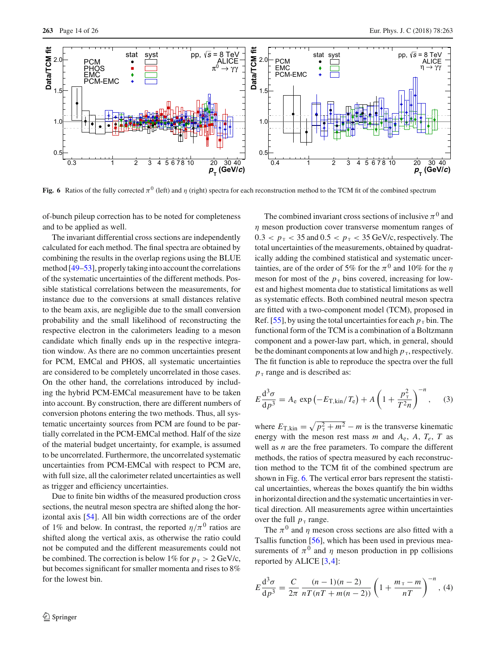

<span id="page-13-0"></span>**Fig. 6** Ratios of the fully corrected  $\pi^0$  (left) and  $\eta$  (right) spectra for each reconstruction method to the TCM fit of the combined spectrum

of-bunch pileup correction has to be noted for completeness and to be applied as well.

The invariant differential cross sections are independently calculated for each method. The final spectra are obtained by combining the results in the overlap regions using the BLUE method [\[49](#page-19-17)[–53\]](#page-19-18), properly taking into account the correlations of the systematic uncertainties of the different methods. Possible statistical correlations between the measurements, for instance due to the conversions at small distances relative to the beam axis, are negligible due to the small conversion probability and the small likelihood of reconstructing the respective electron in the calorimeters leading to a meson candidate which finally ends up in the respective integration window. As there are no common uncertainties present for PCM, EMCal and PHOS, all systematic uncertainties are considered to be completely uncorrelated in those cases. On the other hand, the correlations introduced by including the hybrid PCM-EMCal measurement have to be taken into account. By construction, there are different numbers of conversion photons entering the two methods. Thus, all systematic uncertainty sources from PCM are found to be partially correlated in the PCM-EMCal method. Half of the size of the material budget uncertainty, for example, is assumed to be uncorrelated. Furthermore, the uncorrelated systematic uncertainties from PCM-EMCal with respect to PCM are, with full size, all the calorimeter related uncertainties as well as trigger and efficiency uncertainties.

Due to finite bin widths of the measured production cross sections, the neutral meson spectra are shifted along the horizontal axis [\[54](#page-19-19)]. All bin width corrections are of the order of 1% and below. In contrast, the reported  $\eta/\pi^0$  ratios are shifted along the vertical axis, as otherwise the ratio could not be computed and the different measurements could not be combined. The correction is below 1% for  $p<sub>T</sub> > 2$  GeV/c, but becomes significant for smaller momenta and rises to 8% for the lowest bin.

The combined invariant cross sections of inclusive  $\pi^0$  and  $\eta$  meson production cover transverse momentum ranges of  $0.3 < p<sub>T</sub> < 35$  and  $0.5 < p<sub>T</sub> < 35$  GeV/c, respectively. The total uncertainties of the measurements, obtained by quadratically adding the combined statistical and systematic uncertainties, are of the order of 5% for the  $\pi^0$  and 10% for the  $\eta$ meson for most of the  $p<sub>T</sub>$  bins covered, increasing for lowest and highest momenta due to statistical limitations as well as systematic effects. Both combined neutral meson spectra are fitted with a two-component model (TCM), proposed in Ref. [\[55\]](#page-19-20), by using the total uncertainties for each  $p<sub>T</sub>$  bin. The functional form of the TCM is a combination of a Boltzmann component and a power-law part, which, in general, should be the dominant components at low and high  $p<sub>T</sub>$ , respectively. The fit function is able to reproduce the spectra over the full  $p<sub>T</sub>$  range and is described as:

<span id="page-13-1"></span>
$$
E\frac{d^3\sigma}{dp^3} = A_e \exp(-E_{T,kin}/T_e) + A\left(1 + \frac{p_\tau^2}{T^2n}\right)^{-n}, \quad (3)
$$

where  $E_{\text{T,kin}} = \sqrt{p_{\text{T}}^2 + m^2} - m$  is the transverse kinematic energy with the meson rest mass *m* and  $A_e$ ,  $A$ ,  $T_e$ ,  $T$  as well as *n* are the free parameters. To compare the different methods, the ratios of spectra measured by each reconstruction method to the TCM fit of the combined spectrum are shown in Fig. [6.](#page-13-0) The vertical error bars represent the statistical uncertainties, whereas the boxes quantify the bin widths in horizontal direction and the systematic uncertainties in vertical direction. All measurements agree within uncertainties over the full  $p<sub>T</sub>$  range.

The  $\pi^0$  and  $\eta$  meson cross sections are also fitted with a Tsallis function [\[56](#page-19-21)], which has been used in previous measurements of  $\pi^{0}$  and  $\eta$  meson production in pp collisions reported by ALICE [\[3](#page-18-2),[4\]](#page-18-29):

<span id="page-13-2"></span>
$$
E\frac{d^3\sigma}{dp^3} = \frac{C}{2\pi} \frac{(n-1)(n-2)}{nT(nT + m(n-2))} \left(1 + \frac{m_{\tau} - m}{nT}\right)^{-n}, (4)
$$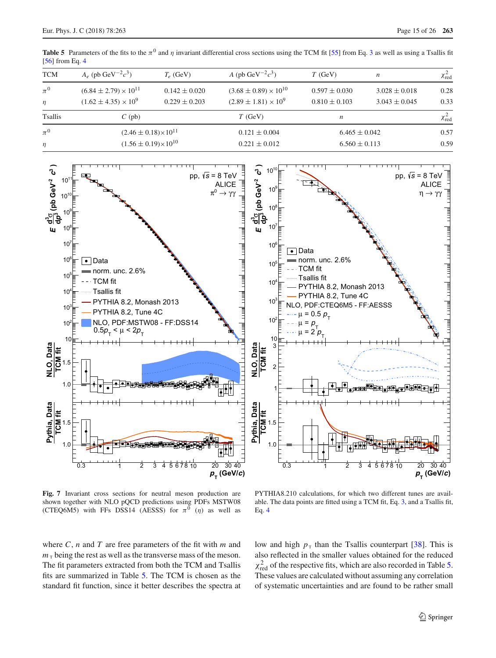| <b>TCM</b> | $A_e$ (pb GeV <sup>-2</sup> $c^3$ ) | $T_e$ (GeV)       | A (pb $\text{GeV}^{-2}c^3$ )     | T(GeV)            | $\boldsymbol{n}$  | $\chi^2_{\rm red}$ |
|------------|-------------------------------------|-------------------|----------------------------------|-------------------|-------------------|--------------------|
| $\pi^0$    | $(6.84 \pm 2.79) \times 10^{11}$    | $0.142 \pm 0.020$ | $(3.68 \pm 0.89) \times 10^{10}$ | $0.597 \pm 0.030$ | $3.028 \pm 0.018$ | 0.28               |
| $\eta$     | $(1.62 \pm 4.35) \times 10^9$       | $0.229 \pm 0.203$ | $(2.89 \pm 1.81) \times 10^9$    | $0.810 \pm 0.103$ | $3.043 \pm 0.045$ | 0.33               |
| Tsallis    | $C$ (pb)                            |                   | T(GeV)                           | $\boldsymbol{n}$  |                   | $\chi^2_{\rm red}$ |
| $\pi^0$    | $(2.46 \pm 0.18) \times 10^{11}$    |                   | $0.121 \pm 0.004$                | $6.465 \pm 0.042$ |                   | 0.57               |
| $\eta$     | $(1.56 \pm 0.19) \times 10^{10}$    |                   | $0.221 \pm 0.012$                | $6.560 \pm 0.113$ |                   | 0.59               |

<span id="page-14-0"></span>**Table 5** Parameters of the fits to the  $\pi^0$  and  $\eta$  invariant differential cross sections using the TCM fit [\[55](#page-19-20)] from Eq. [3](#page-13-1) as well as using a Tsallis fit [\[56](#page-19-21)] from Eq. [4](#page-13-2)



<span id="page-14-1"></span>**Fig. 7** Invariant cross sections for neutral meson production are shown together with NLO pQCD predictions using PDFs MSTW08 (CTEQ6M5) with FFs DSS14 (AESSS) for  $\pi^0$  ( $\eta$ ) as well as

PYTHIA8.210 calculations, for which two different tunes are available. The data points are fitted using a TCM fit, Eq. [3,](#page-13-1) and a Tsallis fit, Eq. [4](#page-13-2)

where *C*, *n* and *T* are free parameters of the fit with *m* and  $m<sub>r</sub>$  being the rest as well as the transverse mass of the meson. The fit parameters extracted from both the TCM and Tsallis fits are summarized in Table [5.](#page-14-0) The TCM is chosen as the standard fit function, since it better describes the spectra at low and high  $p<sub>T</sub>$  than the Tsallis counterpart [\[38\]](#page-19-10). This is also reflected in the smaller values obtained for the reduced  $\chi^2_{\text{red}}$  of the respective fits, which are also recorded in Table [5.](#page-14-0) These values are calculated without assuming any correlation of systematic uncertainties and are found to be rather small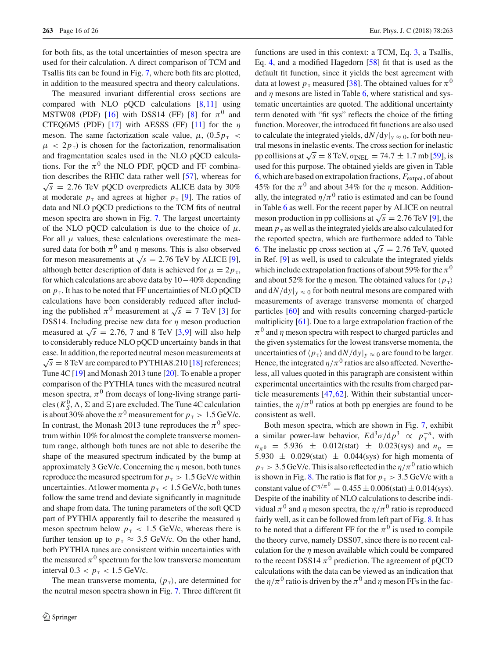for both fits, as the total uncertainties of meson spectra are used for their calculation. A direct comparison of TCM and Tsallis fits can be found in Fig. [7,](#page-14-1) where both fits are plotted, in addition to the measured spectra and theory calculations.

The measured invariant differential cross sections are compared with NLO pQCD calculations [\[8](#page-18-6),[11](#page-18-9)] using MSTW08 (PDF) [\[16\]](#page-18-14) with DSS14 (FF) [\[8\]](#page-18-6) for  $\pi^0$  and CTEQ6M5 (PDF) [\[17](#page-18-15)] with AESSS (FF) [\[11](#page-18-9)] for the  $\eta$ meson. The same factorization scale value,  $\mu$ ,  $(0.5p<sub>T</sub>)$  $\mu$  < 2 $p<sub>T</sub>$ ) is chosen for the factorization, renormalisation and fragmentation scales used in the NLO pQCD calculations. For the  $\pi^0$  the NLO PDF, pQCD and FF combination describes the RHIC data rather well [\[57\]](#page-19-22), whereas for  $\sqrt{s}$  = 2.76 TeV pQCD overpredicts ALICE data by 30% at moderate  $p<sub>T</sub>$  and agrees at higher  $p<sub>T</sub>$  [\[9\]](#page-18-7). The ratios of data and NLO pQCD predictions to the TCM fits of neutral meson spectra are shown in Fig. [7.](#page-14-1) The largest uncertainty of the NLO pQCD calculation is due to the choice of  $\mu$ . For all  $\mu$  values, these calculations overestimate the measured data for both  $\pi^0$  and  $\eta$  mesons. This is also observed for meson measurements at  $\sqrt{s}$  = 2.76 TeV by ALICE [\[9](#page-18-7)], although better description of data is achieved for  $\mu = 2p_{\text{T}}$ , for which calculations are above data by 10−40% depending on  $p<sub>T</sub>$ . It has to be noted that FF uncertainties of NLO pQCD calculations have been considerably reduced after including the published  $\pi^0$  measurement at  $\sqrt{s} = 7$  TeV [\[3](#page-18-2)] for DSS14. Including precise new data for  $\eta$  meson production measured at  $\sqrt{s}$  = 2.76, 7 and 8 TeV [\[3](#page-18-2)[,9](#page-18-7)] will also help to considerably reduce NLO pQCD uncertainty bands in that case. In addition, the reported neutral meson measurements at  $\sqrt{s}$  = 8 TeV are compared to PYTHIA8.210 [\[18](#page-18-16)] references; Tune 4C [\[19\]](#page-18-17) and Monash 2013 tune [\[20](#page-18-18)]. To enable a proper comparison of the PYTHIA tunes with the measured neutral meson spectra,  $\pi^0$  from decays of long-living strange particles ( $K_S^0$ ,  $\Lambda$ ,  $\Sigma$  and  $\Sigma$ ) are excluded. The Tune 4C calculation is about 30% above the  $\pi^0$  measurement for  $p<sub>T</sub> > 1.5$  GeV/c. In contrast, the Monash 2013 tune reproduces the  $\pi^0$  spectrum within 10% for almost the complete transverse momentum range, although both tunes are not able to describe the shape of the measured spectrum indicated by the bump at approximately 3 GeV/c. Concerning the  $\eta$  meson, both tunes reproduce the measured spectrum for  $p<sub>T</sub> > 1.5$  GeV/c within uncertainties. At lower momenta  $p_T < 1.5$  GeV/c, both tunes follow the same trend and deviate significantly in magnitude and shape from data. The tuning parameters of the soft QCD part of PYTHIA apparently fail to describe the measured  $\eta$ meson spectrum below  $p_T < 1.5$  GeV/c, whereas there is further tension up to  $p<sub>T</sub> \approx 3.5$  GeV/c. On the other hand, both PYTHIA tunes are consistent within uncertainties with the measured  $\pi^0$  spectrum for the low transverse momentum interval  $0.3 < p_{\rm T} < 1.5$  GeV/c.

The mean transverse momenta,  $\langle p_{\rm T} \rangle$ , are determined for the neutral meson spectra shown in Fig. [7.](#page-14-1) Three different fit functions are used in this context: a TCM, Eq. [3,](#page-13-1) a Tsallis, Eq. [4,](#page-13-2) and a modified Hagedorn [\[58](#page-19-23)] fit that is used as the default fit function, since it yields the best agreement with data at lowest  $p_{\text{T}}$  measured [\[38](#page-19-10)]. The obtained values for  $\pi^0$ and  $\eta$  mesons are listed in Table [6,](#page-16-0) where statistical and systematic uncertainties are quoted. The additional uncertainty term denoted with "fit sys" reflects the choice of the fitting function. Moreover, the introduced fit functions are also used to calculate the integrated yields,  $dN/dy|_{y \approx 0}$ , for both neutral mesons in inelastic events. The cross section for inelastic pp collisions at  $\sqrt{s} = 8$  TeV,  $\sigma_{INEL} = 74.7 \pm 1.7$  mb [\[59\]](#page-19-24), is used for this purpose. The obtained yields are given in Table [6,](#page-16-0) which are based on extrapolation fractions, *F*extpol, of about 45% for the  $\pi^0$  and about 34% for the  $\eta$  meson. Additionally, the integrated  $\eta/\pi^0$  ratio is estimated and can be found in Table [6](#page-16-0) as well. For the recent paper by ALICE on neutral meson production in pp collisions at  $\sqrt{s} = 2.76$  TeV [\[9](#page-18-7)], the mean  $p<sub>T</sub>$  as well as the integrated yields are also calculated for the reported spectra, which are furthermore added to Table [6.](#page-16-0) The inelastic pp cross section at  $\sqrt{s}$  = 2.76 TeV, quoted in Ref. [\[9\]](#page-18-7) as well, is used to calculate the integrated yields which include extrapolation fractions of about 59% for the  $\pi^0$ and about 52% for the  $\eta$  meson. The obtained values for  $\langle p_{\tau} \rangle$ and  $dN/dy|_y \approx 0$  for both neutral mesons are compared with measurements of average transverse momenta of charged particles [\[60\]](#page-19-25) and with results concerning charged-particle multiplicity [\[61](#page-19-26)]. Due to a large extrapolation fraction of the  $\pi^0$  and  $\eta$  meson spectra with respect to charged particles and the given systematics for the lowest transverse momenta, the uncertainties of  $\langle p_{\rm T} \rangle$  and  $dN/dy|_{y \approx 0}$  are found to be larger. Hence, the integrated  $\eta/\pi^0$  ratios are also affected. Nevertheless, all values quoted in this paragraph are consistent within experimental uncertainties with the results from charged particle measurements [\[47,](#page-19-27)[62\]](#page-19-28). Within their substantial uncertainties, the  $\eta/\pi^0$  ratios at both pp energies are found to be consistent as well.

Both meson spectra, which are shown in Fig. [7,](#page-14-1) exhibit a similar power-law behavior,  $Ed^3\sigma/dp^3 \propto p_{\rm T}^{-n}$ , with  $n_{\pi^0}$  = 5.936  $\pm$  0.012(stat)  $\pm$  0.023(sys) and  $n_{\eta}$  = 5.930  $\pm$  0.029(stat)  $\pm$  0.044(sys) for high momenta of  $p_{\text{T}} > 3.5$  GeV/c. This is also reflected in the  $\eta/\pi^0$  ratio which is shown in Fig. [8.](#page-16-1) The ratio is flat for  $p<sub>T</sub> > 3.5$  GeV/c with a constant value of  $C^{\eta/\pi^0} = 0.455 \pm 0.006$  (stat)  $\pm 0.014$  (sys). Despite of the inability of NLO calculations to describe individual  $\pi^0$  and  $\eta$  meson spectra, the  $\eta/\pi^0$  ratio is reproduced fairly well, as it can be followed from left part of Fig. [8.](#page-16-1) It has to be noted that a different FF for the  $\pi^0$  is used to compile the theory curve, namely DSS07, since there is no recent calculation for the  $\eta$  meson available which could be compared to the recent DSS14  $\pi^0$  prediction. The agreement of pQCD calculations with the data can be viewed as an indication that the  $\eta/\pi^0$  ratio is driven by the  $\pi^0$  and  $\eta$  meson FFs in the fac-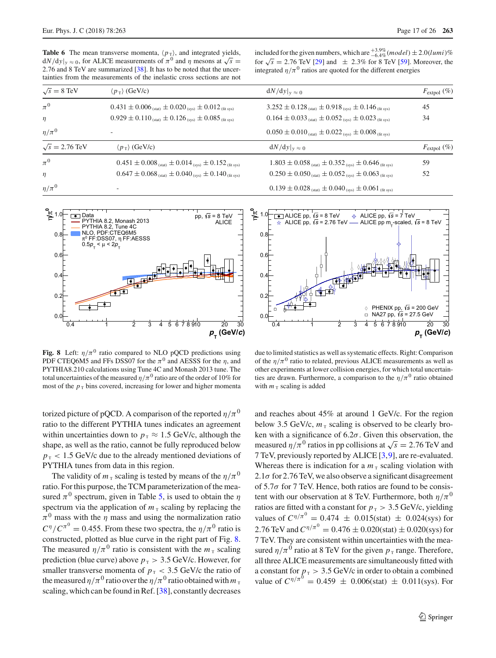<span id="page-16-0"></span>**Table 6** The mean transverse momenta,  $\langle p_{\text{T}} \rangle$ , and integrated yields,  $dN/dy|_{y \approx 0}$ , for ALICE measurements of  $\pi^0$  and  $\eta$  mesons at  $\sqrt{s} =$ 2.76 and 8 TeV are summarized [\[38\]](#page-19-10). It has to be noted that the uncertainties from the measurements of the inelastic cross sections are not

| $\sqrt{s} = 8 \text{ TeV}$ | $\langle p_{\rm T} \rangle$ (GeV/c)                                | $dN/dy _{y\infty}$ 0                                                                     | $F_{\text{extpol}}(\%)$ |
|----------------------------|--------------------------------------------------------------------|------------------------------------------------------------------------------------------|-------------------------|
| $\pi^0$                    | $0.431 \pm 0.006$ (stat) $\pm 0.020$ (sys) $\pm 0.012$ (fit sys)   | $3.252 \pm 0.128$ (stat) $\pm 0.918$ (sys) $\pm 0.146$ (fit sys)                         | 45                      |
| $\eta$                     | $0.929 \pm 0.110_{(stat)} \pm 0.126_{(sys)} \pm 0.085_{(fit sys)}$ | $0.164 \pm 0.033_{\text{(stat)}} \pm 0.052_{\text{(sys)}} \pm 0.023_{\text{(fits sys)}}$ | 34                      |
| $\eta/\pi^0$               |                                                                    | $0.050 \pm 0.010_{(stat)} \pm 0.022_{(sys)} \pm 0.008_{(fit sys)}$                       |                         |
| $\sqrt{s}$ = 2.76 TeV      | $\langle p_{\rm T} \rangle$ (GeV/c)                                | $dN/dy _{y \approx 0}$                                                                   | $F_{\text{extpol}}(\%)$ |
| $\pi^0$                    | $0.451 \pm 0.008$ (stat) $\pm 0.014$ (sys) $\pm 0.152$ (fit sys)   | $1.803 \pm 0.058$ (stat) $\pm 0.352$ (sys) $\pm 0.646$ (fit sys)                         | 59                      |
| $\eta$                     | $0.647 \pm 0.068$ (stat) $\pm 0.040$ (sys) $\pm 0.140$ (fit sys)   | $0.250 \pm 0.050_{\text{(stat)}} \pm 0.052_{\text{(sys)}} \pm 0.063_{\text{(fit sys)}}$  | 52                      |
| $\eta/\pi^0$               |                                                                    | $0.139 \pm 0.028$ (stat) $\pm 0.040$ (sys) $\pm 0.061$ (fit sys)                         |                         |



<span id="page-16-1"></span>**Fig. 8** Left:  $\eta/\pi^0$  ratio compared to NLO pQCD predictions using PDF CTEQ6M5 and FFs DSS07 for the  $\pi^0$  and AESSS for the  $\eta$ , and PYTHIA8.210 calculations using Tune 4C and Monash 2013 tune. The total uncertainties of the measured  $\eta/\pi^0$  ratio are of the order of 10% for most of the  $p_T$  bins covered, increasing for lower and higher momenta

torized picture of pQCD. A comparison of the reported  $\eta/\pi^0$ ratio to the different PYTHIA tunes indicates an agreement within uncertainties down to  $p<sub>T</sub> \approx 1.5$  GeV/c, although the shape, as well as the ratio, cannot be fully reproduced below  $p_{\text{T}}$  < 1.5 GeV/c due to the already mentioned deviations of PYTHIA tunes from data in this region.

The validity of  $m<sub>T</sub>$  scaling is tested by means of the  $\eta/\pi^0$ ratio. For this purpose, the TCM parameterization of the measured  $\pi^0$  spectrum, given in Table [5,](#page-14-0) is used to obtain the  $\eta$ spectrum via the application of  $m<sub>T</sub>$  scaling by replacing the  $\pi^0$  mass with the  $\eta$  mass and using the normalization ratio  $C^{\eta}/C^{\pi^0} = 0.455$ . From these two spectra, the  $\eta/\pi^0$  ratio is constructed, plotted as blue curve in the right part of Fig. [8.](#page-16-1) The measured  $\eta/\pi^0$  ratio is consistent with the  $m<sub>T</sub>$  scaling prediction (blue curve) above  $p_T > 3.5$  GeV/c. However, for smaller transverse momenta of  $p_T < 3.5$  GeV/c the ratio of the measured  $\eta/\pi^0$  ratio over the  $\eta/\pi^0$  ratio obtained with  $m<sub>T</sub>$ scaling, which can be found in Ref. [\[38](#page-19-10)], constantly decreases

included for the given numbers, which are  $^{+3.9\%}_{-6.4\%}$  (*model*)  $\pm 2.0$ (*lumi*)% for  $\sqrt{s}$  = 2.76 TeV [\[29](#page-18-27)] and  $\pm$  2.3% for 8 TeV [\[59](#page-19-24)]. Moreover, the integrated  $n/\pi^0$  ratios are quoted for the different energies

| $dN/dy _{y\infty}$ 0                                                                     | $F_{\text{extpol}}$ (%) |
|------------------------------------------------------------------------------------------|-------------------------|
| $3.252 \pm 0.128$ (stat) $\pm 0.918$ (svs) $\pm 0.146$ (fit svs)                         | 45                      |
| $0.164 \pm 0.033_{\text{(stat)}} \pm 0.052_{\text{(sys)}} \pm 0.023_{\text{(fits sys)}}$ | 34                      |
| $0.050 \pm 0.010_{(stat)} \pm 0.022_{(sys)} \pm 0.008_{(fit,sys)}$                       |                         |
|                                                                                          |                         |
| $dN/dy _{y \approx 0}$                                                                   | $F_{\text{extpol}}$ (%) |
| $1.803 \pm 0.058$ (stat) $\pm 0.352$ (svs) $\pm 0.646$ (fit svs)                         | 59                      |
| $0.250 \pm 0.050$ (stat) $\pm 0.052$ (sys) $\pm 0.063$ (fit sys)                         | 52                      |



due to limited statistics as well as systematic effects. Right: Comparison of the  $\eta/\pi^0$  ratio to related, previous ALICE measurements as well as other experiments at lower collision energies, for which total uncertainties are drawn. Furthermore, a comparison to the  $\eta/\pi^0$  ratio obtained with  $m<sub>T</sub>$  scaling is added

and reaches about 45% at around 1 GeV/c. For the region below 3.5 GeV/c,  $m<sub>T</sub>$  scaling is observed to be clearly broken with a significance of  $6.2\sigma$ . Given this observation, the measured  $\eta/\pi^0$  ratios in pp collisions at  $\sqrt{s} = 2.76$  TeV and 7 TeV, previously reported by ALICE [\[3](#page-18-2)[,9](#page-18-7)], are re-evaluated. Whereas there is indication for a  $m<sub>T</sub>$  scaling violation with  $2.1\sigma$  for 2.76 TeV, we also observe a significant disagreement of  $5.7\sigma$  for  $7$  TeV. Hence, both ratios are found to be consistent with our observation at 8 TeV. Furthermore, both  $\eta/\pi^0$ ratios are fitted with a constant for  $p<sub>T</sub> > 3.5$  GeV/c, yielding values of  $C^{\eta/\pi^0} = 0.474 \pm 0.015$ (stat)  $\pm 0.024$ (sys) for 2.76 TeV and  $C^{\eta/\pi^0} = 0.476 \pm 0.020$  (stat)  $\pm 0.020$  (sys) for 7 TeV. They are consistent within uncertainties with the measured  $\eta/\pi^0$  ratio at 8 TeV for the given  $p<sub>T</sub>$  range. Therefore, all three ALICE measurements are simultaneously fitted with a constant for  $p_T > 3.5$  GeV/c in order to obtain a combined value of  $C^{\eta/\pi^0} = 0.459 \pm 0.006$  (stat)  $\pm 0.011$  (sys). For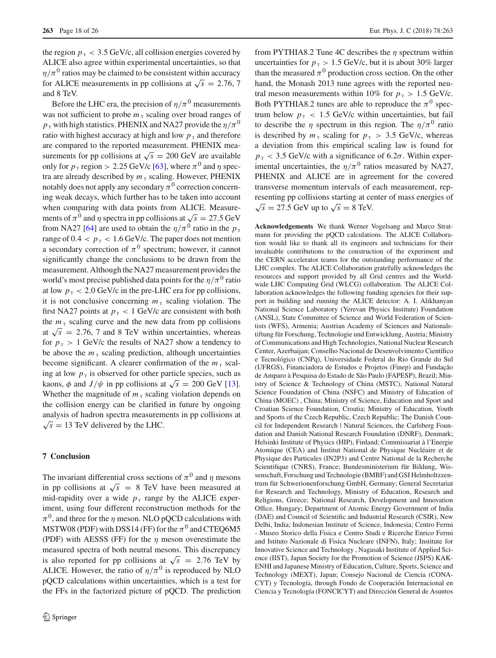the region  $p_T < 3.5$  GeV/c, all collision energies covered by ALICE also agree within experimental uncertainties, so that  $\eta/\pi^0$  ratios may be claimed to be consistent within accuracy for ALICE measurements in pp collisions at  $\sqrt{s} = 2.76, 7$ and 8 TeV.

Before the LHC era, the precision of  $\eta/\pi^0$  measurements was not sufficient to probe  $m<sub>T</sub>$  scaling over broad ranges of  $p<sub>T</sub>$  with high statistics. PHENIX and NA27 provide the  $\eta/\pi^0$ ratio with highest accuracy at high and low  $p<sub>T</sub>$  and therefore are compared to the reported measurement. PHENIX measurements for pp collisions at  $\sqrt{s} = 200$  GeV are available only for  $p_{\tau}$  region > 2.25 GeV/c [\[63\]](#page-19-29), where  $\pi^{0}$  and  $\eta$  spectra are already described by  $m<sub>T</sub>$  scaling. However, PHENIX notably does not apply any secondary  $\pi^0$  correction concerning weak decays, which further has to be taken into account when comparing with data points from ALICE. Measurements of  $\pi^0$  and  $\eta$  spectra in pp collisions at  $\sqrt{s} = 27.5$  GeV from NA27 [64] are used to obtain the  $\eta/\pi^0$  ratio in the  $p_{\text{T}}$ range of  $0.4 < p<sub>T</sub> < 1.6$  GeV/c. The paper does not mention a secondary correction of  $\pi^0$  spectrum; however, it cannot significantly change the conclusions to be drawn from the measurement. Although the NA27 measurement provides the world's most precise published data points for the  $\eta/\pi^0$  ratio at low  $p_T < 2.0$  GeV/c in the pre-LHC era for pp collisions, it is not conclusive concerning  $m<sub>T</sub>$  scaling violation. The first NA27 points at  $p_T < 1$  GeV/c are consistent with both the  $m<sub>T</sub>$  scaling curve and the new data from pp collisions at  $\sqrt{s}$  = 2.76, 7 and 8 TeV within uncertainties, whereas for  $p_T > 1$  GeV/c the results of NA27 show a tendency to be above the  $m<sub>T</sub>$  scaling prediction, although uncertainties become significant. A clearer confirmation of the  $m<sub>T</sub>$  scaling at low  $p<sub>T</sub>$  is observed for other particle species, such as kaons,  $\phi$  and *J*/ $\psi$  in pp collisions at  $\sqrt{s}$  = 200 GeV [\[13](#page-18-11)]. Whether the magnitude of  $m<sub>T</sub>$  scaling violation depends on the collision energy can be clarified in future by ongoing analysis of hadron spectra measurements in pp collisions at  $\sqrt{s}$  = 13 TeV delivered by the LHC.

#### <span id="page-17-0"></span>**7 Conclusion**

The invariant differential cross sections of  $\pi^0$  and  $\eta$  mesons in pp collisions at  $\sqrt{s}$  = 8 TeV have been measured at mid-rapidity over a wide  $p<sub>T</sub>$  range by the ALICE experiment, using four different reconstruction methods for the  $\pi^0$ , and three for the  $\eta$  meson. NLO pQCD calculations with MSTW08 (PDF) with DSS14 (FF) for the  $\pi^0$  and CTEQ6M5 (PDF) with AESSS (FF) for the  $\eta$  meson overestimate the measured spectra of both neutral mesons. This discrepancy is also reported for pp collisions at  $\sqrt{s}$  = 2.76 TeV by ALICE. However, the ratio of  $\eta/\pi^0$  is reproduced by NLO pQCD calculations within uncertainties, which is a test for the FFs in the factorized picture of pQCD. The prediction

from PYTHIA8.2 Tune 4C describes the  $\eta$  spectrum within uncertainties for  $p<sub>T</sub> > 1.5$  GeV/c, but it is about 30% larger than the measured  $\pi^0$  production cross section. On the other hand, the Monash 2013 tune agrees with the reported neutral meson measurements within 10% for  $p<sub>T</sub> > 1.5$  GeV/c. Both PYTHIA8.2 tunes are able to reproduce the  $\pi^0$  spectrum below  $p_T < 1.5$  GeV/c within uncertainties, but fail to describe the  $\eta$  spectrum in this region. The  $\eta/\pi^0$  ratio is described by  $m<sub>T</sub>$  scaling for  $p<sub>T</sub> > 3.5$  GeV/c, whereas a deviation from this empirical scaling law is found for  $p_{\text{T}}$  < 3.5 GeV/c with a significance of 6.2 $\sigma$ . Within experimental uncertainties, the  $\eta/\pi^0$  ratios measured by NA27, PHENIX and ALICE are in agreement for the covered transverse momentum intervals of each measurement, representing pp collisions starting at center of mass energies of  $\sqrt{s}$  = 27.5 GeV up to  $\sqrt{s}$  = 8 TeV.

**Acknowledgements** We thank Werner Vogelsang and Marco Stratmann for providing the pQCD calculations. The ALICE Collaboration would like to thank all its engineers and technicians for their invaluable contributions to the construction of the experiment and the CERN accelerator teams for the outstanding performance of the LHC complex. The ALICE Collaboration gratefully acknowledges the resources and support provided by all Grid centres and the Worldwide LHC Computing Grid (WLCG) collaboration. The ALICE Collaboration acknowledges the following funding agencies for their support in building and running the ALICE detector: A. I. Alikhanyan National Science Laboratory (Yerevan Physics Institute) Foundation (ANSL), State Committee of Science and World Federation of Scientists (WFS), Armenia; Austrian Academy of Sciences and Nationalstiftung für Forschung, Technologie und Entwicklung, Austria; Ministry of Communications and High Technologies, National Nuclear Research Center, Azerbaijan; Conselho Nacional de Desenvolvimento Científico e Tecnológico (CNPq), Universidade Federal do Rio Grande do Sul (UFRGS), Financiadora de Estudos e Projetos (Finep) and Fundação de Amparo à Pesquisa do Estado de São Paulo (FAPESP), Brazil; Ministry of Science & Technology of China (MSTC), National Natural Science Foundation of China (NSFC) and Ministry of Education of China (MOEC) , China; Ministry of Science, Education and Sport and Croatian Science Foundation, Croatia; Ministry of Education, Youth and Sports of the Czech Republic, Czech Republic; The Danish Council for Independent Research | Natural Sciences, the Carlsberg Foundation and Danish National Research Foundation (DNRF), Denmark; Helsinki Institute of Physics (HIP), Finland; Commissariat à l'Energie Atomique (CEA) and Institut National de Physique Nucléaire et de Physique des Particules (IN2P3) and Centre National de la Recherche Scientifique (CNRS), France; Bundesministerium für Bildung, Wissenschaft, Forschung und Technologie (BMBF) and GSI Helmholtzzentrum für Schwerionenforschung GmbH, Germany; General Secretariat for Research and Technology, Ministry of Education, Research and Religions, Greece; National Research, Development and Innovation Office, Hungary; Department of Atomic Energy Government of India (DAE) and Council of Scientific and Industrial Research (CSIR), New Delhi, India; Indonesian Institute of Science, Indonesia; Centro Fermi - Museo Storico della Fisica e Centro Studi e Ricerche Enrico Fermi and Istituto Nazionale di Fisica Nucleare (INFN), Italy; Institute for Innovative Science and Technology , Nagasaki Institute of Applied Science (IIST), Japan Society for the Promotion of Science (JSPS) KAK-ENHI and Japanese Ministry of Education, Culture, Sports, Science and Technology (MEXT), Japan; Consejo Nacional de Ciencia (CONA-CYT) y Tecnología, through Fondo de Cooperación Internacional en Ciencia y Tecnología (FONCICYT) and Dirección General de Asuntos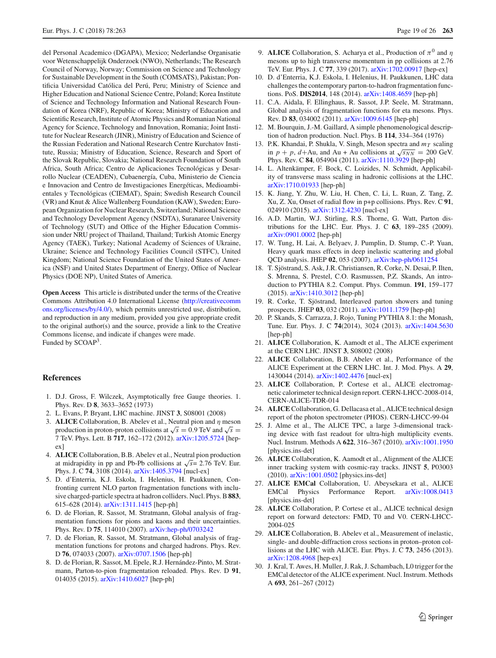del Personal Academico (DGAPA), Mexico; Nederlandse Organisatie voor Wetenschappelijk Onderzoek (NWO), Netherlands; The Research Council of Norway, Norway; Commission on Science and Technology for Sustainable Development in the South (COMSATS), Pakistan; Pontificia Universidad Católica del Perú, Peru; Ministry of Science and Higher Education and National Science Centre, Poland; Korea Institute of Science and Technology Information and National Research Foundation of Korea (NRF), Republic of Korea; Ministry of Education and Scientific Research, Institute of Atomic Physics and Romanian National Agency for Science, Technology and Innovation, Romania; Joint Institute for Nuclear Research (JINR), Ministry of Education and Science of the Russian Federation and National Research Centre Kurchatov Institute, Russia; Ministry of Education, Science, Research and Sport of the Slovak Republic, Slovakia; National Research Foundation of South Africa, South Africa; Centro de Aplicaciones Tecnológicas y Desarrollo Nuclear (CEADEN), Cubaenergía, Cuba, Ministerio de Ciencia e Innovacion and Centro de Investigaciones Energéticas, Medioambientales y Tecnológicas (CIEMAT), Spain; Swedish Research Council (VR) and Knut & Alice Wallenberg Foundation (KAW), Sweden; European Organization for Nuclear Research, Switzerland; National Science and Technology Development Agency (NSDTA), Suranaree University of Technology (SUT) and Office of the Higher Education Commission under NRU project of Thailand, Thailand; Turkish Atomic Energy Agency (TAEK), Turkey; National Academy of Sciences of Ukraine, Ukraine; Science and Technology Facilities Council (STFC), United Kingdom; National Science Foundation of the United States of America (NSF) and United States Department of Energy, Office of Nuclear Physics (DOE NP), United States of America.

**Open Access** This article is distributed under the terms of the Creative Commons Attribution 4.0 International License [\(http://creativecomm](http://creativecommons.org/licenses/by/4.0/) [ons.org/licenses/by/4.0/\)](http://creativecommons.org/licenses/by/4.0/), which permits unrestricted use, distribution, and reproduction in any medium, provided you give appropriate credit to the original author(s) and the source, provide a link to the Creative Commons license, and indicate if changes were made. Funded by SCOAP<sup>3</sup>.

## **References**

- <span id="page-18-0"></span>1. D.J. Gross, F. Wilczek, Asymptotically free Gauge theories. 1. Phys. Rev. D **8**, 3633–3652 (1973)
- <span id="page-18-1"></span>2. L. Evans, P. Bryant, LHC machine. JINST **3**, S08001 (2008)
- <span id="page-18-2"></span>3. **ALICE** Collaboration, B. Abelev et al., Neutral pion and  $\eta$  meson production in proton-proton collisions at  $\sqrt{s} = 0.9$  TeV and  $\sqrt{s} =$ 7 TeV. Phys. Lett. B **717**, 162–172 (2012). [arXiv:1205.5724](http://arxiv.org/abs/1205.5724) [hepex]
- <span id="page-18-29"></span>4. **ALICE** Collaboration, B.B. Abelev et al., Neutral pion production at midrapidity in pp and Pb-Pb collisions at  $\sqrt{s}$ = 2.76 TeV. Eur. Phys. J. C **74**, 3108 (2014). [arXiv:1405.3794](http://arxiv.org/abs/1405.3794) [nucl-ex]
- <span id="page-18-3"></span>5. D. d'Enterria, K.J. Eskola, I. Helenius, H. Paukkunen, Confronting current NLO parton fragmentation functions with inclusive charged-particle spectra at hadron colliders. Nucl. Phys. B**883**, 615–628 (2014). [arXiv:1311.1415](http://arxiv.org/abs/1311.1415) [hep-ph]
- <span id="page-18-4"></span>6. D. de Florian, R. Sassot, M. Stratmann, Global analysis of fragmentation functions for pions and kaons and their uncertainties. Phys. Rev. D **75**, 114010 (2007). [arXiv:hep-ph/0703242](http://arxiv.org/abs/hep-ph/0703242)
- <span id="page-18-5"></span>7. D. de Florian, R. Sassot, M. Stratmann, Global analysis of fragmentation functions for protons and charged hadrons. Phys. Rev. D **76**, 074033 (2007). [arXiv:0707.1506](http://arxiv.org/abs/0707.1506) [hep-ph]
- <span id="page-18-6"></span>8. D. de Florian, R. Sassot, M. Epele, R.J. Hernández-Pinto, M. Stratmann, Parton-to-pion fragmentation reloaded. Phys. Rev. D **91**, 014035 (2015). [arXiv:1410.6027](http://arxiv.org/abs/1410.6027) [hep-ph]
- <span id="page-18-7"></span>9. **ALICE** Collaboration, S. Acharya et al., Production of  $\pi^0$  and  $\eta$ mesons up to high transverse momentum in pp collisions at 2.76 TeV. Eur. Phys. J. C **77**, 339 (2017). [arXiv:1702.00917](http://arxiv.org/abs/1702.00917) [hep-ex]
- <span id="page-18-8"></span>10. D. d'Enterria, K.J. Eskola, I. Helenius, H. Paukkunen, LHC data challenges the contemporary parton-to-hadron fragmentation functions. PoS. **DIS2014**, 148 (2014). [arXiv:1408.4659](http://arxiv.org/abs/1408.4659) [hep-ph]
- <span id="page-18-9"></span>11. C.A. Aidala, F. Ellinghaus, R. Sassot, J.P. Seele, M. Stratmann, Global analysis of fragmentation functions for eta mesons. Phys. Rev. D **83**, 034002 (2011). [arXiv:1009.6145](http://arxiv.org/abs/1009.6145) [hep-ph]
- <span id="page-18-10"></span>12. M. Bourquin, J.-M. Gaillard, A simple phenomenological description of hadron production. Nucl. Phys. B **114**, 334–364 (1976)
- <span id="page-18-11"></span>13. P.K. Khandai, P. Shukla, V. Singh, Meson spectra and  $m<sub>T</sub>$  scaling in  $p + p$ , *d*+Au, and Au + Au collisions at  $\sqrt{s_{NN}} = 200$  GeV. Phys. Rev. C **84**, 054904 (2011). [arXiv:1110.3929](http://arxiv.org/abs/1110.3929) [hep-ph]
- <span id="page-18-12"></span>14. L. Altenkämper, F. Bock, C. Loizides, N. Schmidt, Applicability of transverse mass scaling in hadronic collisions at the LHC. [arXiv:1710.01933](http://arxiv.org/abs/1710.01933) [hep-ph]
- <span id="page-18-13"></span>15. K. Jiang, Y. Zhu, W. Liu, H. Chen, C. Li, L. Ruan, Z. Tang, Z. Xu, Z. Xu, Onset of radial flow in p+p collisions. Phys. Rev. C **91**, 024910 (2015). [arXiv:1312.4230](http://arxiv.org/abs/1312.4230) [nucl-ex]
- <span id="page-18-14"></span>16. A.D. Martin, W.J. Stirling, R.S. Thorne, G. Watt, Parton distributions for the LHC. Eur. Phys. J. C **63**, 189–285 (2009). [arXiv:0901.0002](http://arxiv.org/abs/0901.0002) [hep-ph]
- <span id="page-18-15"></span>17. W. Tung, H. Lai, A. Belyaev, J. Pumplin, D. Stump, C.-P. Yuan, Heavy quark mass effects in deep inelastic scattering and global QCD analysis. JHEP **02**, 053 (2007). [arXiv:hep-ph/0611254](http://arxiv.org/abs/hep-ph/0611254)
- <span id="page-18-16"></span>18. T. Sjöstrand, S. Ask, J.R. Christiansen, R. Corke, N. Desai, P. Ilten, S. Mrenna, S. Prestel, C.O. Rasmussen, P.Z. Skands, An introduction to PYTHIA 8.2. Comput. Phys. Commun. **191**, 159–177 (2015). [arXiv:1410.3012](http://arxiv.org/abs/1410.3012) [hep-ph]
- <span id="page-18-17"></span>19. R. Corke, T. Sjöstrand, Interleaved parton showers and tuning prospects. JHEP **03**, 032 (2011). [arXiv:1011.1759](http://arxiv.org/abs/1011.1759) [hep-ph]
- <span id="page-18-18"></span>20. P. Skands, S. Carrazza, J. Rojo, Tuning PYTHIA 8.1: the Monash, Tune. Eur. Phys. J. C **74**(2014), 3024 (2013). [arXiv:1404.5630](http://arxiv.org/abs/1404.5630) [hep-ph]
- <span id="page-18-19"></span>21. **ALICE** Collaboration, K. Aamodt et al., The ALICE experiment at the CERN LHC. JINST **3**, S08002 (2008)
- <span id="page-18-20"></span>22. **ALICE** Collaboration, B.B. Abelev et al., Performance of the ALICE Experiment at the CERN LHC. Int. J. Mod. Phys. A **29**, 1430044 (2014). [arXiv:1402.4476](http://arxiv.org/abs/1402.4476) [nucl-ex]
- <span id="page-18-21"></span>23. **ALICE** Collaboration, P. Cortese et al., ALICE electromagnetic calorimeter technical design report. CERN-LHCC-2008-014, CERN-ALICE-TDR-014
- <span id="page-18-22"></span>24. **ALICE** Collaboration, G. Dellacasa et al., ALICE technical design report of the photon spectrometer (PHOS). CERN-LHCC-99-04
- <span id="page-18-23"></span>25. J. Alme et al., The ALICE TPC, a large 3-dimensional tracking device with fast readout for ultra-high multiplicity events. Nucl. Instrum. Methods A **622**, 316–367 (2010). [arXiv:1001.1950](http://arxiv.org/abs/1001.1950) [physics.ins-det]
- <span id="page-18-24"></span>26. **ALICE** Collaboration, K. Aamodt et al., Alignment of the ALICE inner tracking system with cosmic-ray tracks. JINST **5**, P03003 (2010). [arXiv:1001.0502](http://arxiv.org/abs/1001.0502) [physics.ins-det]
- <span id="page-18-25"></span>27. **ALICE EMCal** Collaboration, U. Abeysekara et al., ALICE EMCal Physics Performance Report. [arXiv:1008.0413](http://arxiv.org/abs/1008.0413) [physics.ins-det]
- <span id="page-18-26"></span>28. **ALICE** Collaboration, P. Cortese et al., ALICE technical design report on forward detectors: FMD, T0 and V0. CERN-LHCC-2004-025
- <span id="page-18-27"></span>29. **ALICE** Collaboration, B. Abelev et al., Measurement of inelastic, single- and double-diffraction cross sections in proton–proton collisions at the LHC with ALICE. Eur. Phys. J. C **73**, 2456 (2013). [arXiv:1208.4968](http://arxiv.org/abs/1208.4968) [hep-ex]
- <span id="page-18-28"></span>30. J. Kral, T. Awes, H. Muller, J. Rak, J. Schambach, L0 trigger for the EMCal detector of the ALICE experiment. Nucl. Instrum. Methods A **693**, 261–267 (2012)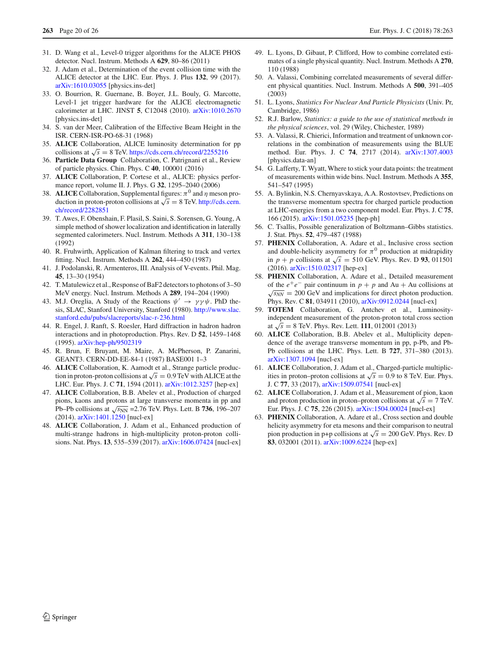- <span id="page-19-0"></span>31. D. Wang et al., Level-0 trigger algorithms for the ALICE PHOS detector. Nucl. Instrum. Methods A **629**, 80–86 (2011)
- <span id="page-19-1"></span>32. J. Adam et al., Determination of the event collision time with the ALICE detector at the LHC. Eur. Phys. J. Plus **132**, 99 (2017). [arXiv:1610.03055](http://arxiv.org/abs/1610.03055) [physics.ins-det]
- <span id="page-19-2"></span>33. O. Bourrion, R. Guernane, B. Boyer, J.L. Bouly, G. Marcotte, Level-1 jet trigger hardware for the ALICE electromagnetic calorimeter at LHC. JINST **5**, C12048 (2010). [arXiv:1010.2670](http://arxiv.org/abs/1010.2670) [physics.ins-det]
- <span id="page-19-3"></span>34. S. van der Meer, Calibration of the Effective Beam Height in the ISR. CERN-ISR-PO-68-31 (1968)
- <span id="page-19-4"></span>35. **ALICE** Collaboration, ALICE luminosity determination for pp collisions at  $\sqrt{s} = 8$  TeV. <https://cds.cern.ch/record/2255216>
- <span id="page-19-5"></span>36. **Particle Data Group** Collaboration, C. Patrignani et al., Review of particle physics. Chin. Phys. C **40**, 100001 (2016)
- <span id="page-19-6"></span>37. **ALICE** Collaboration, P. Cortese et al., ALICE: physics performance report, volume II. J. Phys. G **32**, 1295–2040 (2006)
- <span id="page-19-10"></span>38. **ALICE** Collaboration, Supplemental figures:  $\pi^0$  and  $\eta$  meson production in proton-proton collisions at  $\sqrt{s} = 8$  TeV. [http://cds.cern.](http://cds.cern.ch/record/2282851) [ch/record/2282851](http://cds.cern.ch/record/2282851)
- <span id="page-19-7"></span>39. T. Awes, F. Obenshain, F. Plasil, S. Saini, S. Sorensen, G. Young, A simple method of shower localization and identification in laterally segmented calorimeters. Nucl. Instrum. Methods A **311**, 130–138 (1992)
- <span id="page-19-8"></span>40. R. Fruhwirth, Application of Kalman filtering to track and vertex fitting. Nucl. Instrum. Methods A **262**, 444–450 (1987)
- <span id="page-19-9"></span>41. J. Podolanski, R. Armenteros, III. Analysis of V-events. Phil. Mag. **45**, 13–30 (1954)
- <span id="page-19-11"></span>42. T. Matulewicz et al., Response of BaF2 detectors to photons of 3–50 MeV energy. Nucl. Instrum. Methods A **289**, 194–204 (1990)
- <span id="page-19-12"></span>43. M.J. Oreglia, A Study of the Reactions  $\psi' \to \gamma \gamma \psi$ . PhD thesis, SLAC, Stanford University, Stanford (1980). [http://www.slac.](http://www.slac.stanford.edu/pubs/slacreports/slac-r-236.html) [stanford.edu/pubs/slacreports/slac-r-236.html](http://www.slac.stanford.edu/pubs/slacreports/slac-r-236.html)
- <span id="page-19-13"></span>44. R. Engel, J. Ranft, S. Roesler, Hard diffraction in hadron hadron interactions and in photoproduction. Phys. Rev. D **52**, 1459–1468 (1995). [arXiv:hep-ph/9502319](http://arxiv.org/abs/hep-ph/9502319)
- <span id="page-19-14"></span>45. R. Brun, F. Bruyant, M. Maire, A. McPherson, P. Zanarini, GEANT3. CERN-DD-EE-84-1 (1987) BASE001 1–3
- <span id="page-19-15"></span>46. **ALICE** Collaboration, K. Aamodt et al., Strange particle production in proton-proton collisions at  $\sqrt{s} = 0.9$  TeV with ALICE at the LHC. Eur. Phys. J. C **71**, 1594 (2011). [arXiv:1012.3257](http://arxiv.org/abs/1012.3257) [hep-ex]
- <span id="page-19-27"></span>47. **ALICE** Collaboration, B.B. Abelev et al., Production of charged pions, kaons and protons at large transverse momenta in pp and Pb–Pb collisions at  $\sqrt{s_{NN}}$  =2.76 TeV. Phys. Lett. B 736, 196–207 (2014). [arXiv:1401.1250](http://arxiv.org/abs/1401.1250) [nucl-ex]
- <span id="page-19-16"></span>48. **ALICE** Collaboration, J. Adam et al., Enhanced production of multi-strange hadrons in high-multiplicity proton-proton collisions. Nat. Phys. **13**, 535–539 (2017). [arXiv:1606.07424](http://arxiv.org/abs/1606.07424) [nucl-ex]
- <span id="page-19-17"></span>49. L. Lyons, D. Gibaut, P. Clifford, How to combine correlated estimates of a single physical quantity. Nucl. Instrum. Methods A **270**, 110 (1988)
- 50. A. Valassi, Combining correlated measurements of several different physical quantities. Nucl. Instrum. Methods A **500**, 391–405 (2003)
- 51. L. Lyons, *Statistics For Nuclear And Particle Physicists* (Univ. Pr, Cambridge, 1986)
- 52. R.J. Barlow, *Statistics: a guide to the use of statistical methods in the physical sciences*, vol. 29 (Wiley, Chichester, 1989)
- <span id="page-19-18"></span>53. A. Valassi, R. Chierici, Information and treatment of unknown correlations in the combination of measurements using the BLUE method. Eur. Phys. J. C **74**, 2717 (2014). [arXiv:1307.4003](http://arxiv.org/abs/1307.4003) [physics.data-an]
- <span id="page-19-19"></span>54. G. Lafferty, T. Wyatt, Where to stick your data points: the treatment of measurements within wide bins. Nucl. Instrum. Methods A **355**, 541–547 (1995)
- <span id="page-19-20"></span>55. A. Bylinkin, N.S. Chernyavskaya, A.A. Rostovtsev, Predictions on the transverse momentum spectra for charged particle production at LHC-energies from a two component model. Eur. Phys. J. C **75**, 166 (2015). [arXiv:1501.05235](http://arxiv.org/abs/1501.05235) [hep-ph]
- <span id="page-19-21"></span>56. C. Tsallis, Possible generalization of Boltzmann–Gibbs statistics. J. Stat. Phys. **52**, 479–487 (1988)
- <span id="page-19-22"></span>57. **PHENIX** Collaboration, A. Adare et al., Inclusive cross section and double-helicity asymmetry for  $\pi^0$  production at midrapidity in *p* + *p* collisions at  $\sqrt{s}$  = 510 GeV. Phys. Rev. D 93, 011501 (2016). [arXiv:1510.02317](http://arxiv.org/abs/1510.02317) [hep-ex]
- <span id="page-19-23"></span>58. **PHENIX** Collaboration, A. Adare et al., Detailed measurement of the  $e^+e^-$  pair continuum in  $p + p$  and Au + Au collisions at  $\sqrt{s_{NN}}$  = 200 GeV and implications for direct photon production. Phys. Rev. C **81**, 034911 (2010), [arXiv:0912.0244](http://arxiv.org/abs/0912.0244) [nucl-ex]
- <span id="page-19-24"></span>59. **TOTEM** Collaboration, G. Antchev et al., Luminosityindependent measurement of the proton-proton total cross section at  $\sqrt{s}$  = 8 TeV. Phys. Rev. Lett. **111**, 012001 (2013)
- <span id="page-19-25"></span>60. **ALICE** Collaboration, B.B. Abelev et al., Multiplicity dependence of the average transverse momentum in pp, p-Pb, and Pb-Pb collisions at the LHC. Phys. Lett. B **727**, 371–380 (2013). [arXiv:1307.1094](http://arxiv.org/abs/1307.1094) [nucl-ex]
- <span id="page-19-26"></span>61. **ALICE** Collaboration, J. Adam et al., Charged-particle multiplicities in proton–proton collisions at  $\sqrt{s} = 0.9$  to 8 TeV. Eur. Phys. J. C **77**, 33 (2017), [arXiv:1509.07541](http://arxiv.org/abs/1509.07541) [nucl-ex]
- <span id="page-19-28"></span>62. **ALICE** Collaboration, J. Adam et al., Measurement of pion, kaon and proton production in proton–proton collisions at  $\sqrt{s} = 7$  TeV. Eur. Phys. J. C **75**, 226 (2015). [arXiv:1504.00024](http://arxiv.org/abs/1504.00024) [nucl-ex]
- <span id="page-19-29"></span>63. **PHENIX** Collaboration, A. Adare et al., Cross section and double helicity asymmetry for eta mesons and their comparison to neutral pion production in p+p collisions at  $\sqrt{s}$  = 200 GeV. Phys. Rev. D **83**, 032001 (2011). [arXiv:1009.6224](http://arxiv.org/abs/1009.6224) [hep-ex]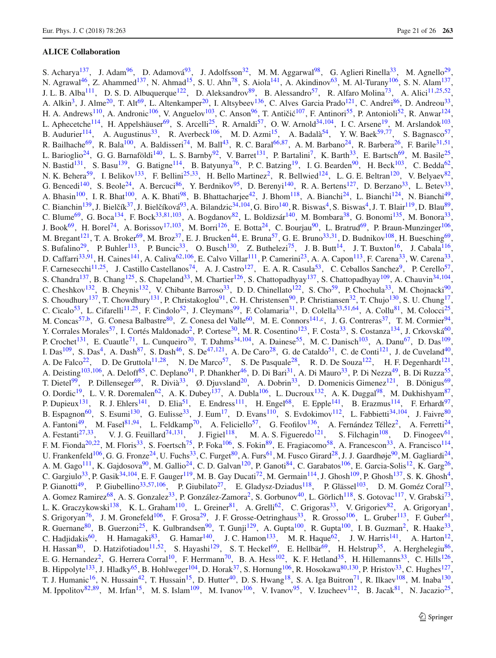## **ALICE Collaboration**

S. Acharya<sup>137</sup>, J. Adam<sup>96</sup>, D. Adamová<sup>93</sup>, J. Adolfsson<sup>32</sup>, M. M. Aggarwal<sup>98</sup>, G. Aglieri Rinella<sup>33</sup>, M. Agnello<sup>29</sup>, N. Agrawal<sup>46</sup>, Z. Ahammed<sup>137</sup>, N. Ahmad<sup>15</sup>, S. U. Ahn<sup>78</sup>, S. Aiola<sup>141</sup>, A. Akindinov<sup>63</sup>, M. Al-Turany<sup>106</sup>, S. N. Alam<sup>137</sup>, J. L. B. Alba<sup>111</sup>, D. S. D. Albuquerque<sup>122</sup>, D. Aleksandrov<sup>89</sup>, B. Alessandro<sup>57</sup>, R. Alfaro Molina<sup>73</sup>, A. Alici<sup>11[,25](#page-23-7),52</sup>, A. Alkin<sup>3</sup>, J. Alme<sup>20</sup>, T. Alt<sup>69</sup>, L. Altenkamper<sup>20</sup>, I. Altsybeev<sup>136</sup>, C. Alves Garcia Prado<sup>121</sup>, C. Andrei<sup>86</sup>, D. Andreou<sup>33</sup>, H. A. Andrews<sup>110</sup>, A. Andronic<sup>106</sup>, V. Anguelov<sup>103</sup>, C. Anson<sup>96</sup>, T. Antičić<sup>107</sup>, F. Antinori<sup>55</sup>, P. Antonioli<sup>52</sup>, R. Anwar<sup>124</sup>, L. Aphecetche<sup>114</sup>, H. Appelshäuser<sup>69</sup>, S. Arcelli<sup>25</sup>, R. Arnaldi<sup>57</sup>, O. W. Arnold<sup>34,104</sup>, I. C. Arsene<sup>19</sup>, M. Arslandok<sup>103</sup>, B. Audurier<sup>114</sup>, A. Augustinus<sup>33</sup>, R. Averbeck<sup>106</sup>, M. D. Azmi<sup>15</sup>, A. Badalà<sup>54</sup>, Y. W. Baek<sup>59,77</sup>, S. Bagnasco<sup>57</sup>, R. Bailhache<sup>69</sup>, R. Bala<sup>100</sup>, A. Baldisseri<sup>74</sup>, M. Ball<sup>43</sup>, R. C. Baral<sup>66,87</sup>, A. M. Barbano<sup>24</sup>, R. Barbera<sup>26</sup>, F. Barile<sup>31,51</sup>, L. Barioglio<sup>24</sup>, G. G. Barnaföldi<sup>140</sup>, L. S. Barnby<sup>92</sup>, V. Barret<sup>131</sup>, P. Bartalini<sup>7</sup>, K. Barth<sup>33</sup>, E. Bartsch<sup>69</sup>, M. Basile<sup>25</sup>, N. Bastid<sup>131</sup>, S. Basu<sup>139</sup>, G. Batigne<sup>114</sup>, B. Batyunya<sup>76</sup>, P. C. Batzing<sup>19</sup>, I. G. Bearden<sup>90</sup>, H. Beck<sup>103</sup>, C. Bedda<sup>62</sup>, N. K. Behera<sup>59</sup>, I. Belikov<sup>133</sup>, F. Bellini<sup>25,33</sup>, H. Bello Martinez<sup>2</sup>, R. Bellwied<sup>124</sup>, L. G. E. Beltran<sup>120</sup>, V. Belyaev<sup>82</sup> G. Bencedi<sup>140</sup>, S. Beole<sup>24</sup>, A. Bercuci<sup>86</sup>, Y. Berdnikov<sup>95</sup>, D. Berenyi<sup>140</sup>, R. A. Bertens<sup>127</sup>, D. Berzano<sup>33</sup>, L. Betev<sup>33</sup>, A. Bhasin<sup>100</sup>, I. R. Bhat<sup>100</sup>, A. K. Bhati<sup>98</sup>, B. Bhattacharjee<sup>42</sup>, J. Bhom<sup>118</sup>, A. Bianchi<sup>24</sup>, L. Bianchi<sup>124</sup>, N. Bianchi<sup>49</sup>, C. Bianchin<sup>139</sup>, J. Bielčík<sup>37</sup>, J. Bielčíková<sup>93</sup>, A. Bilandzic<sup>34,104</sup>, G. Biro<sup>140</sup>, R. Biswas<sup>4</sup>, S. Biswas<sup>4</sup>, J. T. Blair<sup>119</sup>, D. Blau<sup>89</sup>, C. Blume<sup>69</sup>, G. Boca<sup>134</sup>, F. Bock<sup>33[,81](#page-24-27),103</sup>, A. Bogdanov<sup>82</sup>, L. Boldizsár<sup>140</sup>, M. Bombara<sup>38</sup>, G. Bonomi<sup>135</sup>, M. Bonora<sup>33</sup>, J. Book<sup>69</sup>, H. Borel<sup>74</sup>, A. Borissov<sup>17,103</sup>, M. Borri<sup>126</sup>, E. Botta<sup>24</sup>, C. Bourjau<sup>90</sup>, L. Bratrud<sup>69</sup>, P. Braun-Munzinger<sup>106</sup>, M. Bregant<sup>121</sup>, T. A. Broker<sup>69</sup>, M. Broz<sup>37</sup>, E. J. Brucken<sup>44</sup>, E. Bruna<sup>57</sup>, G. E. Bruno<sup>33,31</sup>, D. Budnikov<sup>108</sup>, H. Buesching<sup>69</sup>, S. Bufalino<sup>29</sup>, P. Buhler<sup>113</sup>, P. Buncic<sup>33</sup>, O. Busch<sup>130</sup>, Z. Buthelezi<sup>75</sup>, J. B. Butt<sup>14</sup>, J. T. Buxton<sup>16</sup>, J. Cabala<sup>116</sup>, D. Caffarri<sup>33,91</sup>, H. Caines<sup>141</sup>, A. Caliva<sup>62,106</sup>, E. Calvo Villar<sup>111</sup>, P. Camerini<sup>23</sup>, A. A. Capon<sup>113</sup>, F. Carena<sup>33</sup>, W. Carena<sup>33</sup>, F. Carnesecchi<sup>[11](#page-22-1),25</sup>, J. Castillo Castellanos<sup>74</sup>, A. J. Castro<sup>127</sup>, E. A. R. Casula<sup>53</sup>, C. Ceballos Sanchez<sup>9</sup>, P. Cerello<sup>57</sup>, S. Chandra<sup>137</sup>, B. Chang<sup>125</sup>, S. Chapeland<sup>33</sup>, M. Chartier<sup>126</sup>, S. Chattopadhyay<sup>137</sup>, S. Chattopadhyay<sup>109</sup>, A. Chauvin<sup>34,104</sup>, C. Cheshkov<sup>132</sup>, B. Cheynis<sup>132</sup>, V. Chibante Barroso<sup>33</sup>, D. D. Chinellato<sup>122</sup>, S. Cho<sup>59</sup>, P. Chochula<sup>33</sup>, M. Chojnacki<sup>90</sup>, S. Choudhury<sup>137</sup>, T. Chowdhury<sup>131</sup>, P. Christakoglou<sup>91</sup>, C. H. Christensen<sup>90</sup>, P. Christiansen<sup>32</sup>, T. Chujo<sup>130</sup>, S. U. Chung<sup>17</sup>, C. Cicalo<sup>53</sup>, L. Cifarelli<sup>11,25</sup>, F. Cindolo<sup>52</sup>, J. Cleymans<sup>99</sup>, F. Colamaria<sup>31</sup>, D. Colella<sup>33[,51](#page-23-20),64</sup>, A. Collu<sup>81</sup>, M. Colocci<sup>25</sup>, M. Concas<sup>[57](#page-23-5),b</sup>, G. Conesa Balbastre<sup>80</sup>, Z. Conesa del Valle<sup>60</sup>, M. E. Connors<sup>141,c</sup>, J. G. Contreras<sup>37</sup>, T. M. Cormier<sup>94</sup>, Y. Corrales Morales<sup>57</sup>, I. Cortés Maldonado<sup>2</sup>, P. Cortese<sup>30</sup>, M. R. Cosentino<sup>123</sup>, F. Costa<sup>33</sup>, S. Costanza<sup>134</sup>, J. Crkovská<sup>60</sup>, P. Crochet<sup>131</sup>, E. Cuautle<sup>71</sup>, L. Cunqueiro<sup>70</sup>, T. Dahms<sup>34,104</sup>, A. Dainese<sup>55</sup>, M. C. Danisch<sup>103</sup>, A. Danu<sup>67</sup>, D. Das<sup>109</sup>, I. Das<sup>109</sup>, S. Das<sup>4</sup>, A. Dash<sup>87</sup>, S. Dash<sup>46</sup>, S. De<sup>47,121</sup>, A. De Caro<sup>28</sup>, G. de Cataldo<sup>51</sup>, C. de Conti<sup>121</sup>, J. de Cuveland<sup>40</sup>, A. De Falco<sup>22</sup>, D. De Gruttola<sup>11,28</sup>, N. De Marco<sup>57</sup>, S. De Pasquale<sup>28</sup>, R. D. De Souza<sup>122</sup>, H. F. Degenhardt<sup>121</sup>, A. Deisting<sup>103,106</sup>, A. Deloff<sup>85</sup>, C. Deplano<sup>91</sup>, P. Dhankher<sup>46</sup>, D. Di Bari<sup>31</sup>, A. Di Mauro<sup>33</sup>, P. Di Nezza<sup>49</sup>, B. Di Ruzza<sup>55</sup>, T. Dietel<sup>99</sup>, P. Dillenseger<sup>69</sup>, R. Divià<sup>33</sup>, Ø. Djuvsland<sup>20</sup>, A. Dobrin<sup>33</sup>, D. Domenicis Gimenez<sup>121</sup>, B. Dönigus<sup>69</sup>, O. Dordic<sup>19</sup>, L. V. R. Doremalen<sup>62</sup>, A. K. Dubey<sup>137</sup>, A. Dubla<sup>106</sup>, L. Ducroux<sup>132</sup>, A. K. Duggal<sup>98</sup>, M. Dukhishyam<sup>87</sup>, P. Dupieux<sup>131</sup>, R. J. Ehlers<sup>141</sup>, D. Elia<sup>51</sup>, E. Endress<sup>111</sup>, H. Engel<sup>68</sup>, E. Epple<sup>141</sup>, B. Erazmus<sup>114</sup>, F. Erhardt<sup>97</sup>, B. Espagnon<sup>60</sup>, S. Esumi<sup>130</sup>, G. Eulisse<sup>33</sup>, J. Eum<sup>17</sup>, D. Evans<sup>110</sup>, S. Evdokimov<sup>112</sup>, L. Fabbietti<sup>34,104</sup>, J. Faivre<sup>80</sup>, A. Fantoni<sup>49</sup>, M. Fasel<sup>81,94</sup>, L. Feldkamp<sup>70</sup>, A. Feliciello<sup>57</sup>, G. Feofilov<sup>136</sup>, A. Fernández Téllez<sup>2</sup>, A. Ferretti<sup>24</sup>, A. Festanti<sup>27,33</sup>, V. J. G. Feuillard<sup>74,131</sup>, J. Figiel<sup>118</sup>, M. A. S. Figueredo<sup>121</sup>, S. Filchagin<sup>108</sup>, D. Finogeev<sup>61</sup>, F. M. Fionda<sup>[20](#page-22-3),22</sup>, M. Floris<sup>33</sup>, S. Foertsch<sup>75</sup>, P. Foka<sup>106</sup>, S. Fokin<sup>89</sup>, E. Fragiacomo<sup>58</sup>, A. Francescon<sup>33</sup>, A. Francisco<sup>114</sup>, U. Frankenfeld<sup>106</sup>, G. G. Fronze<sup>24</sup>, U. Fuchs<sup>33</sup>, C. Furget<sup>80</sup>, A. Furs<sup>61</sup>, M. Fusco Girard<sup>28</sup>, J. J. Gaardhøje<sup>90</sup>, M. Gagliardi<sup>24</sup>, A. M. Gago<sup>111</sup>, K. Gajdosova<sup>90</sup>, M. Gallio<sup>24</sup>, C. D. Galvan<sup>120</sup>, P. Ganoti<sup>84</sup>, C. Garabatos<sup>106</sup>, E. Garcia-Solis<sup>12</sup>, K. Garg<sup>26</sup>, C. Gargiulo<sup>33</sup>, P. Gasik<sup>34,104</sup>, E. F. Gauger<sup>119</sup>, M. B. Gay Ducati<sup>72</sup>, M. Germain<sup>114</sup>, J. Ghosh<sup>109</sup>, P. Ghosh<sup>137</sup>, S. K. Ghosh<sup>4</sup>, P. Gianotti<sup>49</sup>, P. Giubellino<sup>33[,57](#page-23-5),106</sup>, P. Giubilato<sup>27</sup>, E. Gladysz-Dziadus<sup>118</sup>, P. Glässel<sup>103</sup>, D. M. Goméz Coral<sup>73</sup>, A. Gomez Ramirez<sup>68</sup>, A. S. Gonzalez<sup>33</sup>, P. González-Zamora<sup>2</sup>, S. Gorbunov<sup>40</sup>, L. Görlich<sup>118</sup>, S. Gotovac<sup>117</sup>, V. Grabski<sup>73</sup>, L. K. Graczykowski<sup>138</sup>, K. L. Graham<sup>110</sup>, L. Greiner<sup>81</sup>, A. Grelli<sup>62</sup>, C. Grigoras<sup>33</sup>, V. Grigoriev<sup>82</sup>, A. Grigoryan<sup>1</sup>, S. Grigoryan<sup>76</sup>, J. M. Gronefeld<sup>106</sup>, F. Grosa<sup>29</sup>, J. F. Grosse-Oetringhaus<sup>33</sup>, R. Grosso<sup>106</sup>, L. Gruber<sup>113</sup>, F. Guber<sup>61</sup>, R. Guernane<sup>80</sup>, B. Guerzoni<sup>25</sup>, K. Gulbrandsen<sup>90</sup>, T. Gunji<sup>129</sup>, A. Gupta<sup>100</sup>, R. Gupta<sup>100</sup>, I. B. Guzman<sup>2</sup>, R. Haake<sup>33</sup>, C. Hadjidakis<sup>60</sup>, H. Hamagaki<sup>83</sup>, G. Hamar<sup>140</sup>, J. C. Hamon<sup>133</sup>, M. R. Haque<sup>62</sup>, J. W. Harris<sup>141</sup>, A. Harton<sup>12</sup>, H. Hassan<sup>80</sup>, D. Hatzifotiadou<sup>11,52</sup>, S. Hayashi<sup>129</sup>, S. T. Heckel<sup>69</sup>, E. Hellbär<sup>69</sup>, H. Helstrup<sup>35</sup>, A. Herghelegiu<sup>86</sup>, E. G. Hernandez<sup>2</sup>, G. Herrera Corral<sup>10</sup>, F. Herrmann<sup>70</sup>, B. A. Hess<sup>102</sup>, K. F. Hetland<sup>35</sup>, H. Hillemanns<sup>33</sup>, C. Hills<sup>126</sup>, B. Hippolyte<sup>133</sup>, J. Hladky<sup>65</sup>, B. Hohlweger<sup>104</sup>, D. Horak<sup>37</sup>, S. Hornung<sup>106</sup>, R. Hosokawa<sup>80,130</sup>, P. Hristov<sup>33</sup>, C. Hughes<sup>127</sup>, T. J. Humanic<sup>16</sup>, N. Hussain<sup>42</sup>, T. Hussain<sup>15</sup>, D. Hutter<sup>40</sup>, D. S. Hwang<sup>18</sup>, S. A. Iga Buitron<sup>71</sup>, R. Ilkaev<sup>108</sup>, M. Inaba<sup>130</sup>, M. Ippolitov<sup>[82](#page-24-23),89</sup>, M. Irfan<sup>15</sup>, M. S. Islam<sup>109</sup>, M. Ivanov<sup>106</sup>, V. Ivanov<sup>95</sup>, V. Izucheev<sup>112</sup>, B. Jacak<sup>81</sup>, N. Jacazio<sup>25</sup>,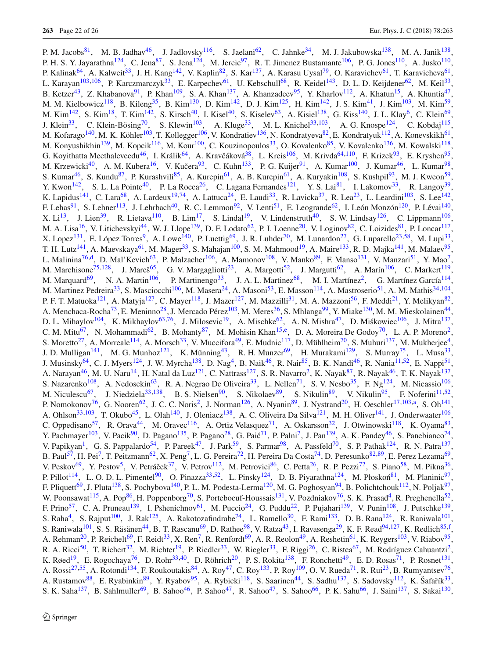P. M. Jacobs<sup>81</sup>, M. B. Jadhav<sup>46</sup>, J. Jadlovsky<sup>116</sup>, S. Jaelani<sup>62</sup>, C. Jahnke<sup>34</sup>, M. J. Jakubowska<sup>138</sup>, M. A. Janik<sup>138</sup>, P. H. S. Y. Jayarathna<sup>124</sup>, C. Jena<sup>87</sup>, S. Jena<sup>124</sup>, M. Jercic<sup>97</sup>, R. T. Jimenez Bustamante<sup>106</sup>, P. G. Jones<sup>110</sup>, A. Jusko<sup>110</sup>, P. Kalinak<sup>64</sup>, A. Kalweit<sup>33</sup>, J. H. Kang<sup>142</sup>, V. Kaplin<sup>82</sup>, S. Kar<sup>137</sup>, A. Karasu Uysal<sup>79</sup>, O. Karavichev<sup>61</sup>, T. Karavicheva<sup>61</sup>, L. Karayan<sup>[103](#page-24-11),106</sup>, P. Karczmarczyk<sup>33</sup>, E. Karpechev<sup>61</sup>, U. Kebschull<sup>68</sup>, R. Keidel<sup>143</sup>, D. L. D. Keijdener<sup>62</sup>, M. Keil<sup>33</sup>, B. Ketzer<sup>43</sup>, Z. Khabanova<sup>91</sup>, P. Khan<sup>109</sup>, S. A. Khan<sup>137</sup>, A. Khanzadeev<sup>95</sup>, Y. Kharlov<sup>112</sup>, A. Khatun<sup>15</sup>, A. Khuntia<sup>47</sup>, M. M. Kielbowicz<sup>118</sup>, B. Kileng<sup>35</sup>, B. Kim<sup>130</sup>, D. Kim<sup>142</sup>, D. J. Kim<sup>125</sup>, H. Kim<sup>142</sup>, J. S. Kim<sup>41</sup>, J. Kim<sup>103</sup>, M. Kim<sup>59</sup>, M. Kim<sup>142</sup>, S. Kim<sup>18</sup>, T. Kim<sup>142</sup>, S. Kirsch<sup>40</sup>, I. Kisel<sup>40</sup>, S. Kiselev<sup>63</sup>, A. Kisiel<sup>138</sup>, G. Kiss<sup>140</sup>, J. L. Klay<sup>6</sup>, C. Klein<sup>69</sup>, J. Klein<sup>33</sup>, C. Klein-Bösing<sup>70</sup>, S. Klewin<sup>103</sup>, A. Kluge<sup>33</sup>, M. L. Knichel<sup>33,103</sup>, A. G. Knospe<sup>124</sup>, C. Kobdaj<sup>115</sup>, M. Kofarago<sup>140</sup>, M. K. Köhler<sup>103</sup>, T. Kollegger<sup>106</sup>, V. Kondratiev<sup>136</sup>, N. Kondratyeva<sup>82</sup>, E. Kondratyuk<sup>112</sup>, A. Konevskikh<sup>61</sup>, M. Konyushikhin<sup>139</sup>, M. Kopcik<sup>116</sup>, M. Kour<sup>100</sup>, C. Kouzinopoulos<sup>33</sup>, O. Kovalenko<sup>85</sup>, V. Kovalenko<sup>136</sup>, M. Kowalski<sup>118</sup>, G. Koyithatta Meethaleveedu<sup>46</sup>, I. Králik<sup>64</sup>, A. Kravčáková<sup>38</sup>, L. Kreis<sup>106</sup>, M. Krivda<sup>64,110</sup>, F. Krizek<sup>93</sup>, E. Kryshen<sup>95</sup>, M. Krzewicki<sup>40</sup>, A. M. Kubera<sup>16</sup>, V. Kučera<sup>93</sup>, C. Kuhn<sup>133</sup>, P. G. Kuijer<sup>91</sup>, A. Kumar<sup>100</sup>, J. Kumar<sup>46</sup>, L. Kumar<sup>98</sup>, S. Kumar<sup>46</sup>, S. Kundu<sup>87</sup>, P. Kurashvili<sup>85</sup>, A. Kurepin<sup>61</sup>, A. B. Kurepin<sup>61</sup>, A. Kuryakin<sup>108</sup>, S. Kushpil<sup>93</sup>, M. J. Kweon<sup>59</sup> Y. Kwon<sup>142</sup>, S. L. La Pointe<sup>40</sup>, P. La Rocca<sup>26</sup>, C. Lagana Fernandes<sup>121</sup>, Y. S. Lai<sup>81</sup>, I. Lakomov<sup>33</sup>, R. Langoy<sup>39</sup>, K. Lapidus<sup>141</sup>, C. Lara<sup>68</sup>, A. Lardeux<sup>19,74</sup>, A. Lattuca<sup>24</sup>, E. Laudi<sup>33</sup>, R. Lavicka<sup>37</sup>, R. Lea<sup>23</sup>, L. Leardini<sup>103</sup>, S. Lee<sup>142</sup>, F. Lehas<sup>91</sup>, S. Lehner<sup>113</sup>, J. Lehrbach<sup>40</sup>, R. C. Lemmon<sup>92</sup>, V. Lenti<sup>51</sup>, E. Leogrande<sup>62</sup>, I. León Monzón<sup>120</sup>, P. Lévai<sup>140</sup>, X. Li<sup>13</sup>, J. Lien<sup>39</sup>, R. Lietava<sup>110</sup>, B. Lim<sup>17</sup>, S. Lindal<sup>19</sup>, V. Lindenstruth<sup>40</sup>, S. W. Lindsay<sup>126</sup>, C. Lippmann<sup>106</sup>, M. A. Lisa<sup>16</sup>, V. Litichevskyi<sup>44</sup>, W. J. Llope<sup>139</sup>, D. F. Lodato<sup>62</sup>, P. I. Loenne<sup>20</sup>, V. Loginov<sup>82</sup>, C. Loizides<sup>81</sup>, P. Loncar<sup>117</sup>, X. Lopez<sup>131</sup>, E. López Torres<sup>9</sup>, A. Lowe<sup>140</sup>, P. Luettig<sup>69</sup>, J. R. Luhder<sup>70</sup>, M. Lunardon<sup>27</sup>, G. Luparello<sup>23,58</sup>, M. Lupi<sup>33</sup>, T. H. Lutz<sup>141</sup>, A. Maevskaya<sup>61</sup>, M. Mager<sup>33</sup>, S. Mahajan<sup>100</sup>, S. M. Mahmood<sup>19</sup>, A. Maire<sup>133</sup>, R. D. Majka<sup>141</sup>, M. Malaev<sup>95</sup>, L. Malinina<sup>[76](#page-24-20),d</sup>, D. Mal'Kevich<sup>63</sup>, P. Malzacher<sup>106</sup>, A. Mamonov<sup>108</sup>, V. Manko<sup>89</sup>, F. Manso<sup>131</sup>, V. Manzari<sup>51</sup>, Y. Mao<sup>7</sup>, M. Marchisone<sup>[75](#page-24-31),128</sup>, J. Mareš<sup>65</sup>, G. V. Margagliotti<sup>23</sup>, A. Margotti<sup>52</sup>, J. Margutti<sup>62</sup>, A. Marín<sup>106</sup>, C. Markert<sup>119</sup>, M. Marquard<sup>69</sup>, N. A. Martin<sup>106</sup>, P. Martinengo<sup>33</sup>, J. A. L. Martinez<sup>68</sup>, M. I. Martínez<sup>2</sup>, G. Martínez García<sup>114</sup>, M. Martinez Pedreira<sup>33</sup>, S. Masciocchi<sup>106</sup>, M. Masera<sup>24</sup>, A. Masoni<sup>53</sup>, E. Masson<sup>114</sup>, A. Mastroserio<sup>51</sup>, A. M. Mathis<sup>34,104</sup>, P. F. T. Matuoka<sup>121</sup>, A. Matyja<sup>127</sup>, C. Mayer<sup>118</sup>, J. Mazer<sup>127</sup>, M. Mazzilli<sup>31</sup>, M. A. Mazzoni<sup>56</sup>, F. Meddi<sup>21</sup>, Y. Melikyan<sup>82</sup>, A. Menchaca-Rocha<sup>73</sup>, E. Meninno<sup>28</sup>, J. Mercado Pérez<sup>103</sup>, M. Meres<sup>36</sup>, S. Mhlanga<sup>99</sup>, Y. Miake<sup>130</sup>, M. M. Mieskolainen<sup>44</sup>, D. L. Mihaylov<sup>104</sup>, K. Mikhaylov<sup>63,76</sup>, J. Milosevic<sup>19</sup>, A. Mischke<sup>62</sup>, A. N. Mishra<sup>47</sup>, D. Miśkowiec<sup>106</sup>, J. Mitra<sup>137</sup>, C. M. Mitu<sup>67</sup>, N. Mohammadi<sup>62</sup>, B. Mohanty<sup>87</sup>, M. Mohisin Khan<sup>15,e</sup>, D. A. Moreira De Godoy<sup>70</sup>, L. A. P. Moreno<sup>2</sup>, S. Moretto<sup>27</sup>, A. Morreale<sup>114</sup>, A. Morsch<sup>33</sup>, V. Muccifora<sup>49</sup>, E. Mudnic<sup>117</sup>, D. Mühlheim<sup>70</sup>, S. Muhuri<sup>137</sup>, M. Mukherjee<sup>4</sup>, J. D. Mulligan<sup>141</sup>, M. G. Munhoz<sup>121</sup>, K. Münning<sup>43</sup>, R. H. Munzer<sup>69</sup>, H. Murakami<sup>129</sup>, S. Murray<sup>75</sup>, L. Musa<sup>33</sup>, J. Musinsky<sup>64</sup>, C. J. Myers<sup>124</sup>, J. W. Myrcha<sup>138</sup>, D. Nag<sup>4</sup>, B. Naik<sup>46</sup>, R. Nair<sup>85</sup>, B. K. Nandi<sup>46</sup>, R. Nania<sup>11,52</sup>, E. Nappi<sup>51</sup>, A. Narayan<sup>46</sup>, M. U. Naru<sup>14</sup>, H. Natal da Luz<sup>121</sup>, C. Nattrass<sup>127</sup>, S. R. Navarro<sup>2</sup>, K. Nayak<sup>87</sup>, R. Nayak<sup>46</sup>, T. K. Nayak<sup>137</sup>, S. Nazarenko<sup>108</sup>, A. Nedosekin<sup>63</sup>, R. A. Negrao De Oliveira<sup>33</sup>, L. Nellen<sup>71</sup>, S. V. Nesbo<sup>35</sup>, F. Ng<sup>124</sup>, M. Nicassio<sup>106</sup>, M. Niculescu<sup>67</sup>, J. Niedziela<sup>33,138</sup>, B. S. Nielsen<sup>90</sup>, S. Nikolaev<sup>89</sup>, S. Nikulin<sup>89</sup>, V. Nikulin<sup>95</sup>, F. Noferini<sup>11,52</sup>, M. Niculescu<sup>67</sup>, J. Niedziela<sup>33,138</sup>, B. S. Nielsen<sup>90</sup>, S. Nikolaev<sup>89</sup>, S. Nikulin<sup>89</sup>, V P. Nomokonov<sup>76</sup>, G. Nooren<sup>62</sup>, J. C. C. Noris<sup>2</sup>, J. Norman<sup>126</sup>, A. Nyanin<sup>89</sup>, J. Nystrand<sup>20</sup>, H. Oeschler<sup>17[,103](#page-24-11),a</sup>, S. Oh<sup>141</sup>, A. Ohlson<sup>[33](#page-23-1),103</sup>, T. Okubo<sup>45</sup>, L. Olah<sup>140</sup>, J. Oleniacz<sup>138</sup>, A. C. Oliveira Da Silva<sup>121</sup>, M. H. Oliver<sup>141</sup>, J. Onderwaater<sup>106</sup>, C. Oppedisano<sup>57</sup>, R. Orava<sup>44</sup>, M. Oravec<sup>116</sup>, A. Ortiz Velasquez<sup>71</sup>, A. Oskarsson<sup>32</sup>, J. Otwinowski<sup>118</sup>, K. Oyama<sup>83</sup>, Y. Pachmayer<sup>103</sup>, V. Pacik<sup>90</sup>, D. Pagano<sup>135</sup>, P. Pagano<sup>28</sup>, G. Paić<sup>71</sup>, P. Palni<sup>7</sup>, J. Pan<sup>139</sup>, A. K. Pandey<sup>46</sup>, S. Panebianco<sup>74</sup>, V. Papikyan<sup>1</sup>, G. S. Pappalardo<sup>54</sup>, P. Pareek<sup>47</sup>, J. Park<sup>59</sup>, S. Parmar<sup>98</sup>, A. Passfeld<sup>70</sup>, S. P. Pathak<sup>124</sup>, R. N. Patra<sup>137</sup>, B. Paul<sup>57</sup>, H. Pei<sup>7</sup>, T. Peitzmann<sup>62</sup>, X. Peng<sup>7</sup>, L. G. Pereira<sup>72</sup>, H. Pereira Da Costa<sup>74</sup>, D. Peresunko<sup>82,89</sup>, E. Perez Lezama<sup>69</sup>, V. Peskov<sup>69</sup>, Y. Pestov<sup>5</sup>, V. Petráček<sup>37</sup>, V. Petrov<sup>112</sup>, M. Petrovici<sup>86</sup>, C. Petta<sup>26</sup>, R. P. Pezzi<sup>72</sup>, S. Piano<sup>58</sup>, M. Pikna<sup>36</sup>, P. Pillot<sup>114</sup>, L. O. D. L. Pimentel<sup>90</sup>, O. Pinazza<sup>33,52</sup>, L. Pinsky<sup>124</sup>, D. B. Piyarathna<sup>124</sup>, M. Płoskoń<sup>81</sup>, M. Planinic<sup>97</sup>, F. Pliquett<sup>69</sup>, J. Pluta<sup>138</sup>, S. Pochybova<sup>140</sup>, P. L. M. Podesta-Lerma<sup>120</sup>, M. G. Poghosyan<sup>94</sup>, B. Polichtchouk<sup>112</sup>, N. Poljak<sup>97</sup> W. Poonsawat<sup>115</sup>, A. Pop<sup>86</sup>, H. Poppenborg<sup>70</sup>, S. Porteboeuf-Houssais<sup>131</sup>, V. Pozdniakov<sup>76</sup>, S. K. Prasad<sup>4</sup>, R. Preghenella<sup>52</sup>, F. Prino<sup>57</sup>, C. A. Pruneau<sup>139</sup>, I. Pshenichnov<sup>61</sup>, M. Puccio<sup>24</sup>, G. Puddu<sup>22</sup>, P. Pujahari<sup>139</sup>, V. Punin<sup>108</sup>, J. Putschke<sup>139</sup>, S. Raha<sup>4</sup>, S. Rajput<sup>100</sup>, J. Rak<sup>125</sup>, A. Rakotozafindrabe<sup>74</sup>, L. Ramello<sup>30</sup>, F. Rami<sup>133</sup>, D. B. Rana<sup>124</sup>, R. Raniwala<sup>101</sup>, S. Raniwala<sup>101</sup>, S. S. Räsänen<sup>44</sup>, B. T. Rascanu<sup>69</sup>, D. Rathee<sup>98</sup>, V. Ratza<sup>43</sup>, I. Ravasenga<sup>29</sup>, K. F. Read<sup>94,127</sup>, K. Redlich<sup>85[,f](#page-25-22)</sup>, A. Rehman<sup>20</sup>, P. Reichelt<sup>69</sup>, F. Reidt<sup>33</sup>, X. Ren<sup>7</sup>, R. Renfordt<sup>69</sup>, A. R. Reolon<sup>49</sup>, A. Reshetin<sup>61</sup>, K. Reygers<sup>103</sup>, V. Riabov<sup>95</sup>, R. A. Ricci<sup>50</sup>, T. Richert<sup>32</sup>, M. Richter<sup>19</sup>, P. Riedler<sup>33</sup>, W. Riegler<sup>33</sup>, F. Riggi<sup>26</sup>, C. Ristea<sup>67</sup>, M. Rodríguez Cahuantzi<sup>2</sup>, K. Røed<sup>19</sup>, E. Rogochaya<sup>76</sup>, D. Rohr<sup>33,40</sup>, D. Röhrich<sup>20</sup>, P. S. Rokita<sup>138</sup>, F. Ronchetti<sup>49</sup>, E. D. Rosas<sup>71</sup>, P. Rosnet<sup>131</sup>, A. Rossi<sup>27,55</sup>, A. Rotondi<sup>134</sup>, F. Roukoutakis<sup>84</sup>, A. Roy<sup>47</sup>, C. Roy<sup>133</sup>, P. Roy<sup>109</sup>, O. V. Rueda<sup>71</sup>, R. Rui<sup>23</sup>, B. Rumyantsev<sup>76</sup>, A. Rustamov<sup>88</sup>, E. Ryabinkin<sup>89</sup>, Y. Ryabov<sup>95</sup>, A. Rybicki<sup>118</sup>, S. Saarinen<sup>44</sup>, S. Sadhu<sup>137</sup>, S. Sadovsky<sup>112</sup>, K. Šafařík<sup>33</sup>, S. K. Saha<sup>137</sup>, B. Sahlmuller<sup>69</sup>, B. Sahoo<sup>46</sup>, P. Sahoo<sup>47</sup>, R. Sahoo<sup>47</sup>, S. Sahoo<sup>66</sup>, P. K. Sahu<sup>66</sup>, J. Saini<sup>137</sup>, S. Sakai<sup>130</sup>,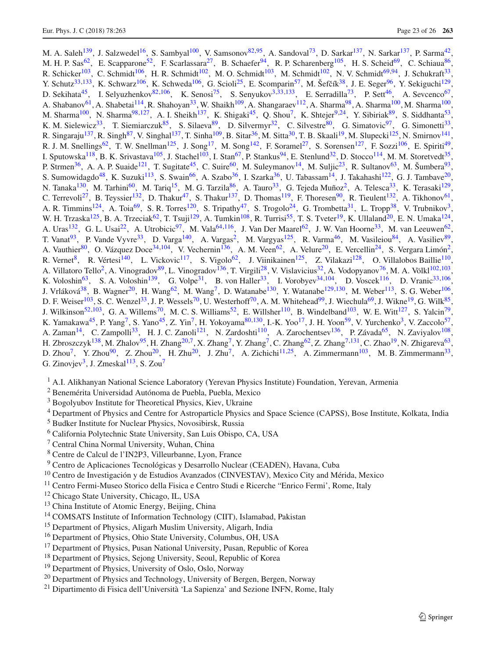M. A. Saleh<sup>139</sup>, J. Salzwedel<sup>16</sup>, S. Sambyal<sup>100</sup>, V. Samsonov<sup>82,95</sup>, A. Sandoval<sup>73</sup>, D. Sarkar<sup>137</sup>, N. Sarkar<sup>137</sup>, P. Sarma<sup>42</sup>, M. H. P. Sas<sup>62</sup>, E. Scapparone<sup>52</sup>, F. Scarlassara<sup>27</sup>, B. Schaefer<sup>94</sup>, R. P. Scharenberg<sup>105</sup>, H. S. Scheid<sup>69</sup>, C. Schiaua<sup>86</sup>, R. Schicker<sup>103</sup>, C. Schmidt<sup>106</sup>, H. R. Schmidt<sup>102</sup>, M. O. Schmidt<sup>103</sup>, M. Schmidt<sup>102</sup>, N. V. Schmidt<sup>69,94</sup>, J. Schukraft<sup>33</sup>, Y. Schutz<sup>[33](#page-23-1),133</sup>, K. Schwarz<sup>106</sup>, K. Schweda<sup>106</sup>, G. Scioli<sup>25</sup>, E. Scomparin<sup>57</sup>, M. Šefčík<sup>38</sup>, J. E. Seger<sup>96</sup>, Y. Sekiguchi<sup>129</sup>, D. Sekihata<sup>45</sup>, I. Selyuzhenkov<sup>82,106</sup>, K. Senosi<sup>75</sup>, S. Senyukov<sup>3, [33,](#page-23-1) 133</sup>, E. Serradilla<sup>73</sup>, P. Sett<sup>46</sup>, A. Sevcenco<sup>67</sup>, A. Shabanov<sup>61</sup>, A. Shabetai<sup>114</sup>, R. Shahoyan<sup>33</sup>, W. Shaikh<sup>109</sup>, A. Shangaraev<sup>112</sup>, A. Sharma<sup>98</sup>, A. Sharma<sup>100</sup>, M. Sharma<sup>100</sup>, M. Sharma<sup>100</sup>, N. Sharma<sup>98,127</sup>, A. I. Sheikh<sup>137</sup>, K. Shigaki<sup>45</sup>, Q. Shou<sup>7</sup>, K. Shtejer<sup>9,24</sup>, Y. Sibiriak<sup>89</sup>, S. Siddhanta<sup>53</sup>, K. M. Sielewicz<sup>33</sup>, T. Siemiarczuk<sup>85</sup>, S. Silaeva<sup>89</sup>, D. Silvermyr<sup>32</sup>, C. Silvestre<sup>80</sup>, G. Simatovic<sup>97</sup>, G. Simonetti<sup>33</sup>, R. Singaraju<sup>137</sup>, R. Singh<sup>87</sup>, V. Singhal<sup>137</sup>, T. Sinha<sup>109</sup>, B. Sitar<sup>36</sup>, M. Sitta<sup>30</sup>, T. B. Skaali<sup>19</sup>, M. Slupecki<sup>125</sup>, N. Smirnov<sup>141</sup>, R. J. M. Snellings<sup>62</sup>, T. W. Snellman<sup>125</sup>, J. Song<sup>17</sup>, M. Song<sup>142</sup>, F. Soramel<sup>27</sup>, S. Sorensen<sup>127</sup>, F. Sozzi<sup>106</sup>, E. Spiriti<sup>49</sup>, I. Sputowska<sup>118</sup>, B. K. Srivastava<sup>105</sup>, J. Stachel<sup>103</sup>, I. Stan<sup>67</sup>, P. Stankus<sup>94</sup>, E. Stenlund<sup>32</sup>, D. Stocco<sup>114</sup>, M. M. Storetvedt<sup>35</sup>, P. Strmen<sup>36</sup>, A. A. P. Suaide<sup>121</sup>, T. Sugitate<sup>45</sup>, C. Suire<sup>60</sup>, M. Suleymanov<sup>14</sup>, M. Suljic<sup>23</sup>, R. Sultanov<sup>63</sup>, M. Šumbera<sup>93</sup>, S. Sumowidagdo<sup>48</sup>, K. Suzuki<sup>113</sup>, S. Swain<sup>66</sup>, A. Szabo<sup>36</sup>, I. Szarka<sup>36</sup>, U. Tabassam<sup>14</sup>, J. Takahashi<sup>122</sup>, G. J. Tambave<sup>20</sup>, N. Tanaka<sup>130</sup>, M. Tarhini<sup>60</sup>, M. Tariq<sup>15</sup>, M. G. Tarzila<sup>86</sup>, A. Tauro<sup>33</sup>, G. Tejeda Muñoz<sup>2</sup>, A. Telesca<sup>33</sup>, K. Terasaki<sup>129</sup>, C. Terrevoli<sup>27</sup>, B. Teyssier<sup>132</sup>, D. Thakur<sup>47</sup>, S. Thakur<sup>137</sup>, D. Thomas<sup>119</sup>, F. Thoresen<sup>90</sup>, R. Tieulent<sup>132</sup>, A. Tikhonov<sup>61</sup>, A. R. Timmins<sup>124</sup>, A. Toia<sup>69</sup>, S. R. Torres<sup>120</sup>, S. Tripathy<sup>47</sup>, S. Trogolo<sup>24</sup>, G. Trombetta<sup>31</sup>, L. Tropp<sup>38</sup>, V. Trubnikov<sup>3</sup>, W. H. Trzaska<sup>125</sup>, B. A. Trzeciak<sup>62</sup>, T. Tsuji<sup>129</sup>, A. Tumkin<sup>108</sup>, R. Turrisi<sup>55</sup>, T. S. Tveter<sup>19</sup>, K. Ullaland<sup>20</sup>, E. N. Umaka<sup>124</sup>, A. Uras<sup>132</sup>, G. L. Usai<sup>22</sup>, A. Utrobicic<sup>97</sup>, M. Vala<sup>64,116</sup>, J. Van Der Maarel<sup>62</sup>, J. W. Van Hoorne<sup>33</sup>, M. van Leeuwen<sup>62</sup>, T. Vanat<sup>93</sup>, P. Vande Vyvre<sup>33</sup>, D. Varga<sup>140</sup>, A. Vargas<sup>2</sup>, M. Vargyas<sup>125</sup>, R. Varma<sup>46</sup>, M. Vasileiou<sup>84</sup>, A. Vasiliev<sup>89</sup>, A. Vauthier<sup>80</sup>, O. Vázquez Doce<sup>34,104</sup>, V. Vechernin<sup>136</sup>, A. M. Veen<sup>62</sup>, A. Velure<sup>20</sup>, E. Vercellin<sup>24</sup>, S. Vergara Limón<sup>2</sup>, R. Vernet<sup>8</sup>, R. Vértesi<sup>140</sup>, L. Vickovic<sup>117</sup>, S. Vigolo<sup>62</sup>, J. Viinikainen<sup>125</sup>, Z. Vilakazi<sup>128</sup>, O. Villalobos Baillie<sup>110</sup>, A. Villatoro Tello<sup>2</sup>, A. Vinogradov<sup>89</sup>, L. Vinogradov<sup>136</sup>, T. Virgili<sup>28</sup>, V. Vislavicius<sup>32</sup>, A. Vodopyanov<sup>76</sup>, M. A. Völkl<sup>102,103</sup>, K. Voloshin<sup>63</sup>, S. A. Voloshin<sup>139</sup>, G. Volpe<sup>31</sup>, B. von Haller<sup>33</sup>, I. Vorobyev<sup>34,104</sup>, D. Voscek<sup>116</sup>, D. Vranic<sup>33,106</sup>, J. Vrláková<sup>38</sup>, B. Wagner<sup>20</sup>, H. Wang<sup>62</sup>, M. Wang<sup>7</sup>, D. Watanabe<sup>130</sup>, Y. Watanabe<sup>129,130</sup>, M. Weber<sup>113</sup>, S. G. Weber<sup>106</sup>, D. F. Weiser<sup>103</sup>, S. C. Wenzel<sup>33</sup>, J. P. Wessels<sup>70</sup>, U. Westerhoff<sup>70</sup>, A. M. Whitehead<sup>99</sup>, J. Wiechula<sup>69</sup>, J. Wikne<sup>19</sup>, G. Wilk<sup>85</sup>, J. Wilkinson<sup>52,103</sup>, G. A. Willems<sup>70</sup>, M. C. S. Williams<sup>52</sup>, E. Willsher<sup>110</sup>, B. Windelband<sup>103</sup>, W. E. Witt<sup>127</sup>, S. Yalcin<sup>79</sup>, K. Yamakawa<sup>45</sup>, P. Yang<sup>7</sup>, S. Yano<sup>45</sup>, Z. Yin<sup>7</sup>, H. Yokoyama<sup>80,130</sup>, I.-K. Yoo<sup>17</sup>, J. H. Yoon<sup>59</sup>, V. Yurchenko<sup>3</sup>, V. Zaccolo<sup>57</sup>, A. Zaman<sup>14</sup>, C. Zampolli<sup>33</sup>, H. J. C. Zanoli<sup>121</sup>, N. Zardoshti<sup>110</sup>, A. Zarochentsev<sup>136</sup>, P. Závada<sup>65</sup>, N. Zaviyalov<sup>108</sup>, H. Zbroszczyk<sup>138</sup>, M. Zhalov<sup>95</sup>, H. Zhang<sup>20,7</sup>, X. Zhang<sup>7</sup>, Y. Zhang<sup>7</sup>, C. Zhang<sup>7, 2</sup>. Zhang<sup>7, 131</sup>, C. Zhao<sup>19</sup>, N. Zhigareva<sup>63</sup>, D. Zhou<sup>7</sup>, Y. Zhou<sup>90</sup>, Z. Zhou<sup>20</sup>, H. Zhu<sup>20</sup>, J. Zhu<sup>7</sup>, A. Zichichi<sup>11,25</sup>, A. Zimmermann<sup>103</sup>, M. B. Zimmermann<sup>33</sup>, G. Zinovjev<sup>3</sup>, J. Zmeskal<sup>113</sup>, S. Zou<sup>7</sup>

<sup>1</sup> A.I. Alikhanyan National Science Laboratory (Yerevan Physics Institute) Foundation, Yerevan, Armenia

- <span id="page-22-6"></span><sup>2</sup> Benemérita Universidad Autónoma de Puebla, Puebla, Mexico
- <span id="page-22-19"></span><span id="page-22-7"></span><span id="page-22-2"></span><sup>3</sup> Bogolyubov Institute for Theoretical Physics, Kiev, Ukraine
- <sup>4</sup> Department of Physics and Centre for Astroparticle Physics and Space Science (CAPSS), Bose Institute, Kolkata, India
- <span id="page-22-16"></span><sup>5</sup> Budker Institute for Nuclear Physics, Novosibirsk, Russia
- <span id="page-22-5"></span><sup>6</sup> California Polytechnic State University, San Luis Obispo, CA, USA
- <span id="page-22-20"></span><span id="page-22-11"></span><sup>7</sup> Central China Normal University, Wuhan, China
- <span id="page-22-14"></span><sup>8</sup> Centre de Calcul de l'IN2P3, Villeurbanne, Lyon, France
- <span id="page-22-13"></span><span id="page-22-1"></span><sup>9</sup> Centro de Aplicaciones Tecnológicas y Desarrollo Nuclear (CEADEN), Havana, Cuba
- <sup>10</sup> Centro de Investigación y de Estudios Avanzados (CINVESTAV), Mexico City and Mérida, Mexico
- <sup>11</sup> Centro Fermi-Museo Storico della Fisica e Centro Studi e Ricerche "Enrico Fermi', Rome, Italy
- <span id="page-22-17"></span><sup>12</sup> Chicago State University, Chicago, IL, USA
- <span id="page-22-9"></span><sup>13</sup> China Institute of Atomic Energy, Beijing, China
- <span id="page-22-0"></span><sup>14</sup> COMSATS Institute of Information Technology (CIIT), Islamabad, Pakistan
- <span id="page-22-10"></span><sup>15</sup> Department of Physics, Aligarh Muslim University, Aligarh, India
- <span id="page-22-8"></span><sup>16</sup> Department of Physics, Ohio State University, Columbus, OH, USA
- <span id="page-22-15"></span><sup>17</sup> Department of Physics, Pusan National University, Pusan, Republic of Korea
- <span id="page-22-4"></span><sup>18</sup> Department of Physics, Sejong University, Seoul, Republic of Korea
- <span id="page-22-18"></span><span id="page-22-3"></span><sup>19</sup> Department of Physics, University of Oslo, Oslo, Norway
- <span id="page-22-12"></span><sup>20</sup> Department of Physics and Technology, University of Bergen, Bergen, Norway
- <sup>21</sup> Dipartimento di Fisica dell'Università 'La Sapienza' and Sezione INFN, Rome, Italy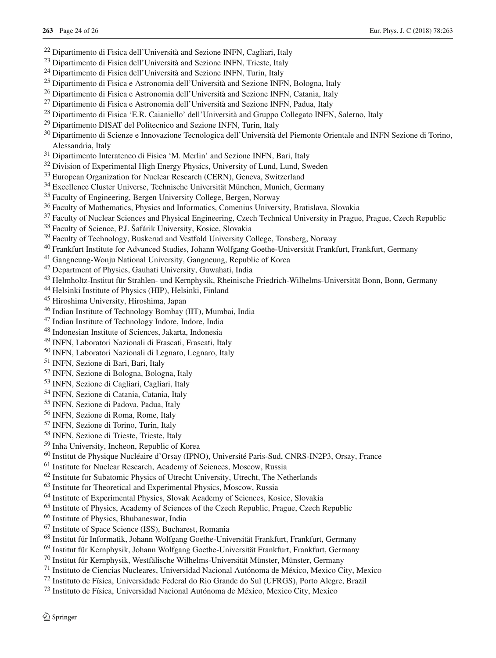- <span id="page-23-27"></span>Dipartimento di Fisica dell'Università and Sezione INFN, Cagliari, Italy
- <span id="page-23-17"></span>Dipartimento di Fisica dell'Università and Sezione INFN, Trieste, Italy
- <span id="page-23-7"></span>Dipartimento di Fisica dell'Università and Sezione INFN, Turin, Italy
- <span id="page-23-18"></span>Dipartimento di Fisica e Astronomia dell'Università and Sezione INFN, Bologna, Italy
- <span id="page-23-39"></span>Dipartimento di Fisica e Astronomia dell'Università and Sezione INFN, Catania, Italy
- <span id="page-23-36"></span>Dipartimento di Fisica e Astronomia dell'Università and Sezione INFN, Padua, Italy
- <span id="page-23-2"></span>Dipartimento di Fisica 'E.R. Caianiello' dell'Università and Gruppo Collegato INFN, Salerno, Italy
- <span id="page-23-31"></span><sup>29</sup> Dipartimento DISAT del Politecnico and Sezione INFN, Turin, Italy
- Dipartimento di Scienze e Innovazione Tecnologica dell'Università del Piemonte Orientale and INFN Sezione di Torino, Alessandria, Italy
- <span id="page-23-19"></span><span id="page-23-0"></span>Dipartimento Interateneo di Fisica 'M. Merlin' and Sezione INFN, Bari, Italy
- <span id="page-23-1"></span><sup>32</sup> Division of Experimental High Energy Physics, University of Lund, Lund, Sweden
- <span id="page-23-11"></span><sup>33</sup> European Organization for Nuclear Research (CERN), Geneva, Switzerland
- <span id="page-23-43"></span>Excellence Cluster Universe, Technische Universität München, Munich, Germany
- <span id="page-23-48"></span><sup>35</sup> Faculty of Engineering, Bergen University College, Bergen, Norway
- <span id="page-23-24"></span>Faculty of Mathematics, Physics and Informatics, Comenius University, Bratislava, Slovakia
- <span id="page-23-25"></span><sup>37</sup> Faculty of Nuclear Sciences and Physical Engineering, Czech Technical University in Prague, Prague, Czech Republic
- <span id="page-23-46"></span>Faculty of Science, P.J. Šafárik University, Kosice, Slovakia
- <span id="page-23-37"></span>Faculty of Technology, Buskerud and Vestfold University College, Tonsberg, Norway
- <span id="page-23-45"></span>Frankfurt Institute for Advanced Studies, Johann Wolfgang Goethe-Universität Frankfurt, Frankfurt, Germany
- <span id="page-23-22"></span>Gangneung-Wonju National University, Gangneung, Republic of Korea
- <span id="page-23-15"></span>Department of Physics, Gauhati University, Guwahati, India
- <span id="page-23-26"></span>Helmholtz-Institut für Strahlen- und Kernphysik, Rheinische Friedrich-Wilhelms-Universität Bonn, Bonn, Germany
- <span id="page-23-49"></span>Helsinki Institute of Physics (HIP), Helsinki, Finland
- <span id="page-23-3"></span>Hiroshima University, Hiroshima, Japan
- <span id="page-23-35"></span>Indian Institute of Technology Bombay (IIT), Mumbai, India
- <span id="page-23-51"></span>Indian Institute of Technology Indore, Indore, India
- <span id="page-23-23"></span>Indonesian Institute of Sciences, Jakarta, Indonesia
- <span id="page-23-50"></span>INFN, Laboratori Nazionali di Frascati, Frascati, Italy
- <span id="page-23-20"></span>INFN, Laboratori Nazionali di Legnaro, Legnaro, Italy
- <span id="page-23-8"></span>INFN, Sezione di Bari, Bari, Italy
- <span id="page-23-28"></span>INFN, Sezione di Bologna, Bologna, Italy
- <span id="page-23-12"></span>INFN, Sezione di Cagliari, Cagliari, Italy
- <span id="page-23-10"></span>INFN, Sezione di Catania, Catania, Italy
- <span id="page-23-47"></span>INFN, Sezione di Padova, Padua, Italy
- <span id="page-23-5"></span>INFN, Sezione di Roma, Rome, Italy
- <span id="page-23-41"></span>INFN, Sezione di Torino, Turin, Italy
- <span id="page-23-13"></span>INFN, Sezione di Trieste, Trieste, Italy
- <span id="page-23-30"></span>Inha University, Incheon, Republic of Korea
- <span id="page-23-40"></span>Institut de Physique Nucléaire d'Orsay (IPNO), Université Paris-Sud, CNRS-IN2P3, Orsay, France
- <span id="page-23-21"></span><sup>61</sup> Institute for Nuclear Research, Academy of Sciences, Moscow, Russia
- <span id="page-23-4"></span>Institute for Subatomic Physics of Utrecht University, Utrecht, The Netherlands
- <span id="page-23-29"></span>Institute for Theoretical and Experimental Physics, Moscow, Russia
- <span id="page-23-44"></span>Institute of Experimental Physics, Slovak Academy of Sciences, Kosice, Slovakia
- <span id="page-23-16"></span>Institute of Physics, Academy of Sciences of the Czech Republic, Prague, Czech Republic
- <span id="page-23-34"></span>Institute of Physics, Bhubaneswar, India
- <span id="page-23-38"></span>Institute of Space Science (ISS), Bucharest, Romania
- <span id="page-23-9"></span>Institut für Informatik, Johann Wolfgang Goethe-Universität Frankfurt, Frankfurt, Germany
- <span id="page-23-33"></span>Institut für Kernphysik, Johann Wolfgang Goethe-Universität Frankfurt, Frankfurt, Germany
- <span id="page-23-32"></span>Institut für Kernphysik, Westfälische Wilhelms-Universität Münster, Münster, Germany
- <span id="page-23-42"></span>Instituto de Ciencias Nucleares, Universidad Nacional Autónoma de México, Mexico City, Mexico
- <span id="page-23-6"></span>Instituto de Física, Universidade Federal do Rio Grande do Sul (UFRGS), Porto Alegre, Brazil
- <span id="page-23-14"></span>Instituto de Física, Universidad Nacional Autónoma de México, Mexico City, Mexico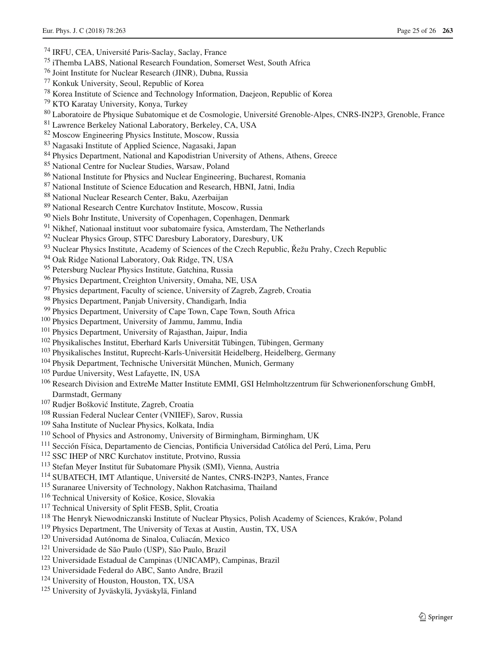- <span id="page-24-31"></span>IRFU, CEA, Université Paris-Saclay, Saclay, France
- <span id="page-24-20"></span>iThemba LABS, National Research Foundation, Somerset West, South Africa
- <span id="page-24-16"></span>Joint Institute for Nuclear Research (JINR), Dubna, Russia
- <span id="page-24-3"></span>Konkuk University, Seoul, Republic of Korea
- <span id="page-24-47"></span>Korea Institute of Science and Technology Information, Daejeon, Republic of Korea
- <span id="page-24-37"></span>KTO Karatay University, Konya, Turkey
- <span id="page-24-27"></span>80 Laboratoire de Physique Subatomique et de Cosmologie, Université Grenoble-Alpes, CNRS-IN2P3, Grenoble, France
- <span id="page-24-23"></span>Lawrence Berkeley National Laboratory, Berkeley, CA, USA
- <span id="page-24-45"></span>Moscow Engineering Physics Institute, Moscow, Russia
- <span id="page-24-43"></span>Nagasaki Institute of Applied Science, Nagasaki, Japan
- <span id="page-24-40"></span>84 Physics Department, National and Kapodistrian University of Athens, Athens, Greece
- <span id="page-24-9"></span>National Centre for Nuclear Studies, Warsaw, Poland
- <span id="page-24-18"></span>National Institute for Physics and Nuclear Engineering, Bucharest, Romania
- <span id="page-24-50"></span>National Institute of Science Education and Research, HBNI, Jatni, India
- <span id="page-24-7"></span>National Nuclear Research Center, Baku, Azerbaijan
- <span id="page-24-21"></span>National Research Centre Kurchatov Institute, Moscow, Russia
- <span id="page-24-33"></span>Niels Bohr Institute, University of Copenhagen, Copenhagen, Denmark
- <span id="page-24-19"></span>Nikhef, Nationaal instituut voor subatomaire fysica, Amsterdam, The Netherlands
- <span id="page-24-1"></span><sup>92</sup> Nuclear Physics Group, STFC Daresbury Laboratory, Daresbury, UK
- <span id="page-24-38"></span>93 Nuclear Physics Institute, Academy of Sciences of the Czech Republic, Řežu Prahy, Czech Republic
- <span id="page-24-24"></span>Oak Ridge National Laboratory, Oak Ridge, TN, USA
- <span id="page-24-0"></span>Petersburg Nuclear Physics Institute, Gatchina, Russia
- <span id="page-24-41"></span>Physics Department, Creighton University, Omaha, NE, USA
- <span id="page-24-2"></span><sup>97</sup> Physics department, Faculty of science, University of Zagreb, Zagreb, Croatia
- <span id="page-24-36"></span><span id="page-24-17"></span>Physics Department, Panjab University, Chandigarh, India
- <span id="page-24-49"></span><span id="page-24-46"></span>Physics Department, University of Cape Town, Cape Town, South Africa
- Physics Department, University of Jammu, Jammu, India
- Physics Department, University of Rajasthan, Jaipur, India
- Physikalisches Institut, Eberhard Karls Universität Tübingen, Tübingen, Germany
- <span id="page-24-15"></span><span id="page-24-11"></span>Physikalisches Institut, Ruprecht-Karls-Universität Heidelberg, Heidelberg, Germany
- <span id="page-24-51"></span>Physik Department, Technische Universität München, Munich, Germany
- <span id="page-24-4"></span>Purdue University, West Lafayette, IN, USA
- Research Division and ExtreMe Matter Institute EMMI, GSI Helmholtzzentrum für Schwerionenforschung GmbH, Darmstadt, Germany
- <span id="page-24-12"></span><sup>107</sup> Rudjer Bošković Institute, Zagreb, Croatia
- <span id="page-24-35"></span><span id="page-24-29"></span>Russian Federal Nuclear Center (VNIIEF), Sarov, Russia
- <span id="page-24-10"></span>Saha Institute of Nuclear Physics, Kolkata, India
- School of Physics and Astronomy, University of Birmingham, Birmingham, UK
- <span id="page-24-42"></span><span id="page-24-5"></span>Sección Física, Departamento de Ciencias, Pontificia Universidad Católica del Perú, Lima, Peru
- <span id="page-24-30"></span>SSC IHEP of NRC Kurchatov institute, Protvino, Russia
- <span id="page-24-14"></span>Stefan Meyer Institut für Subatomare Physik (SMI), Vienna, Austria
- <span id="page-24-48"></span>SUBATECH, IMT Atlantique, Université de Nantes, CNRS-IN2P3, Nantes, France
- <span id="page-24-32"></span>Suranaree University of Technology, Nakhon Ratchasima, Thailand
- <span id="page-24-44"></span>Technical University of Košice, Kosice, Slovakia
- <span id="page-24-25"></span>Technical University of Split FESB, Split, Croatia
- The Henryk Niewodniczanski Institute of Nuclear Physics, Polish Academy of Sciences, Kraków, Poland
- <span id="page-24-26"></span><span id="page-24-22"></span>Physics Department, The University of Texas at Austin, Austin, TX, USA
- <span id="page-24-8"></span>Universidad Autónoma de Sinaloa, Culiacán, Mexico
- <span id="page-24-6"></span>Universidade de São Paulo (USP), São Paulo, Brazil
- Universidade Estadual de Campinas (UNICAMP), Campinas, Brazil
- <span id="page-24-39"></span><span id="page-24-13"></span>Universidade Federal do ABC, Santo Andre, Brazil
- <span id="page-24-34"></span>University of Houston, Houston, TX, USA
- <span id="page-24-28"></span>University of Jyväskylä, Jyväskylä, Finland